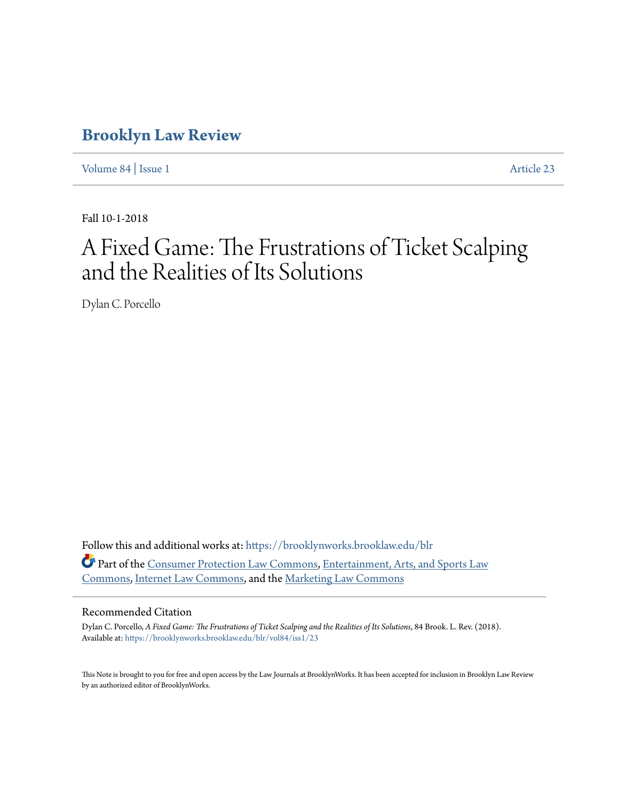# **[Brooklyn Law Review](https://brooklynworks.brooklaw.edu/blr?utm_source=brooklynworks.brooklaw.edu%2Fblr%2Fvol84%2Fiss1%2F23&utm_medium=PDF&utm_campaign=PDFCoverPages)**

[Volume 84](https://brooklynworks.brooklaw.edu/blr/vol84?utm_source=brooklynworks.brooklaw.edu%2Fblr%2Fvol84%2Fiss1%2F23&utm_medium=PDF&utm_campaign=PDFCoverPages) | [Issue 1](https://brooklynworks.brooklaw.edu/blr/vol84/iss1?utm_source=brooklynworks.brooklaw.edu%2Fblr%2Fvol84%2Fiss1%2F23&utm_medium=PDF&utm_campaign=PDFCoverPages) [Article 23](https://brooklynworks.brooklaw.edu/blr/vol84/iss1/23?utm_source=brooklynworks.brooklaw.edu%2Fblr%2Fvol84%2Fiss1%2F23&utm_medium=PDF&utm_campaign=PDFCoverPages)

Fall 10-1-2018

# A Fixed Game: The Frustrations of Ticket Scalping and the Realities of Its Solutions

Dylan C. Porcello

Follow this and additional works at: [https://brooklynworks.brooklaw.edu/blr](https://brooklynworks.brooklaw.edu/blr?utm_source=brooklynworks.brooklaw.edu%2Fblr%2Fvol84%2Fiss1%2F23&utm_medium=PDF&utm_campaign=PDFCoverPages) Part of the [Consumer Protection Law Commons](http://network.bepress.com/hgg/discipline/838?utm_source=brooklynworks.brooklaw.edu%2Fblr%2Fvol84%2Fiss1%2F23&utm_medium=PDF&utm_campaign=PDFCoverPages), [Entertainment, Arts, and Sports Law](http://network.bepress.com/hgg/discipline/893?utm_source=brooklynworks.brooklaw.edu%2Fblr%2Fvol84%2Fiss1%2F23&utm_medium=PDF&utm_campaign=PDFCoverPages) [Commons,](http://network.bepress.com/hgg/discipline/893?utm_source=brooklynworks.brooklaw.edu%2Fblr%2Fvol84%2Fiss1%2F23&utm_medium=PDF&utm_campaign=PDFCoverPages) [Internet Law Commons](http://network.bepress.com/hgg/discipline/892?utm_source=brooklynworks.brooklaw.edu%2Fblr%2Fvol84%2Fiss1%2F23&utm_medium=PDF&utm_campaign=PDFCoverPages), and the [Marketing Law Commons](http://network.bepress.com/hgg/discipline/1045?utm_source=brooklynworks.brooklaw.edu%2Fblr%2Fvol84%2Fiss1%2F23&utm_medium=PDF&utm_campaign=PDFCoverPages)

### Recommended Citation

Dylan C. Porcello, *A Fixed Game: The Frustrations of Ticket Scalping and the Realities of Its Solutions*, 84 Brook. L. Rev. (2018). Available at: [https://brooklynworks.brooklaw.edu/blr/vol84/iss1/23](https://brooklynworks.brooklaw.edu/blr/vol84/iss1/23?utm_source=brooklynworks.brooklaw.edu%2Fblr%2Fvol84%2Fiss1%2F23&utm_medium=PDF&utm_campaign=PDFCoverPages)

This Note is brought to you for free and open access by the Law Journals at BrooklynWorks. It has been accepted for inclusion in Brooklyn Law Review by an authorized editor of BrooklynWorks.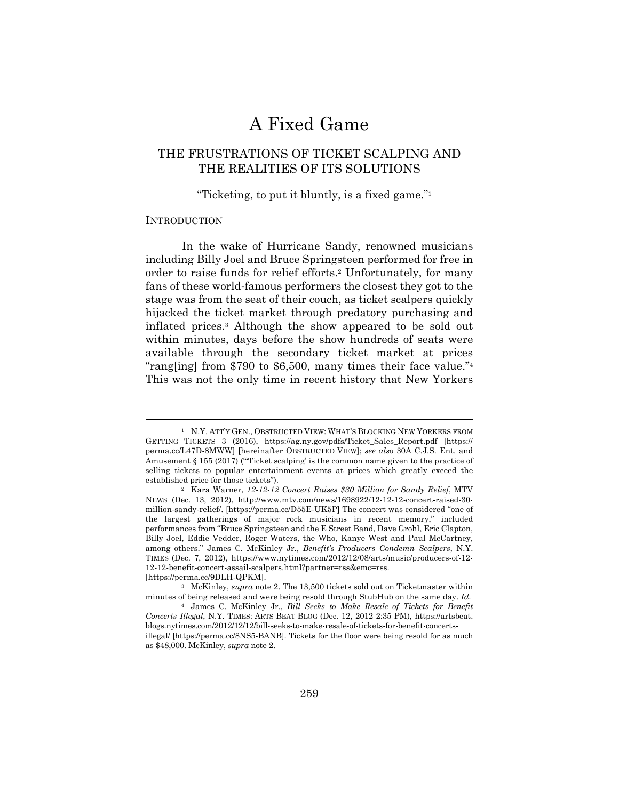# A Fixed Game

# THE FRUSTRATIONS OF TICKET SCALPING AND THE REALITIES OF ITS SOLUTIONS

# "Ticketing, to put it bluntly, is a fixed game."1

#### INTRODUCTION

In the wake of Hurricane Sandy, renowned musicians including Billy Joel and Bruce Springsteen performed for free in order to raise funds for relief efforts.2 Unfortunately, for many fans of these world-famous performers the closest they got to the stage was from the seat of their couch, as ticket scalpers quickly hijacked the ticket market through predatory purchasing and inflated prices.3 Although the show appeared to be sold out within minutes, days before the show hundreds of seats were available through the secondary ticket market at prices "rang[ing] from \$790 to \$6,500, many times their face value."4 This was not the only time in recent history that New Yorkers

<sup>1</sup> N.Y. ATT'Y GEN., OBSTRUCTED VIEW: WHAT'S BLOCKING NEW YORKERS FROM GETTING TICKETS 3 (2016), https://ag.ny.gov/pdfs/Ticket\_Sales\_Report.pdf [https:// perma.cc/L47D-8MWW] [hereinafter OBSTRUCTED VIEW]; *see also* 30A C.J.S. Ent. and Amusement  $\S 155 (2017)$  ("Ticket scalping' is the common name given to the practice of selling tickets to popular entertainment events at prices which greatly exceed the established price for those tickets"). 2 Kara Warner, *12-12-12 Concert Raises \$30 Million for Sandy Relief*, MTV

NEWS (Dec. 13, 2012), http://www.mtv.com/news/1698922/12-12-12-concert-raised-30 million-sandy-relief/. [https://perma.cc/D55E-UK5P] The concert was considered "one of the largest gatherings of major rock musicians in recent memory," included performances from "Bruce Springsteen and the E Street Band, Dave Grohl, Eric Clapton, Billy Joel, Eddie Vedder, Roger Waters, the Who, Kanye West and Paul McCartney, among others." James C. McKinley Jr., *Benefit's Producers Condemn Scalpers*, N.Y. TIMES (Dec. 7, 2012), https://www.nytimes.com/2012/12/08/arts/music/producers-of-12- 12-12-benefit-concert-assail-scalpers.html?partner=rss&emc=rss.

<sup>[</sup>https://perma.cc/9DLH-QPKM]. 3 McKinley, *supra* note 2. The 13,500 tickets sold out on Ticketmaster within minutes of being released and were being resold through StubHub on the same day. *Id.*

<sup>4</sup> James C. McKinley Jr., *Bill Seeks to Make Resale of Tickets for Benefit Concerts Illegal*, N.Y. TIMES: ARTS BEAT BLOG (Dec. 12, 2012 2:35 PM), https://artsbeat. blogs.nytimes.com/2012/12/12/bill-seeks-to-make-resale-of-tickets-for-benefit-concertsillegal/ [https://perma.cc/8NS5-BANB]. Tickets for the floor were being resold for as much as \$48,000. McKinley, *supra* note 2.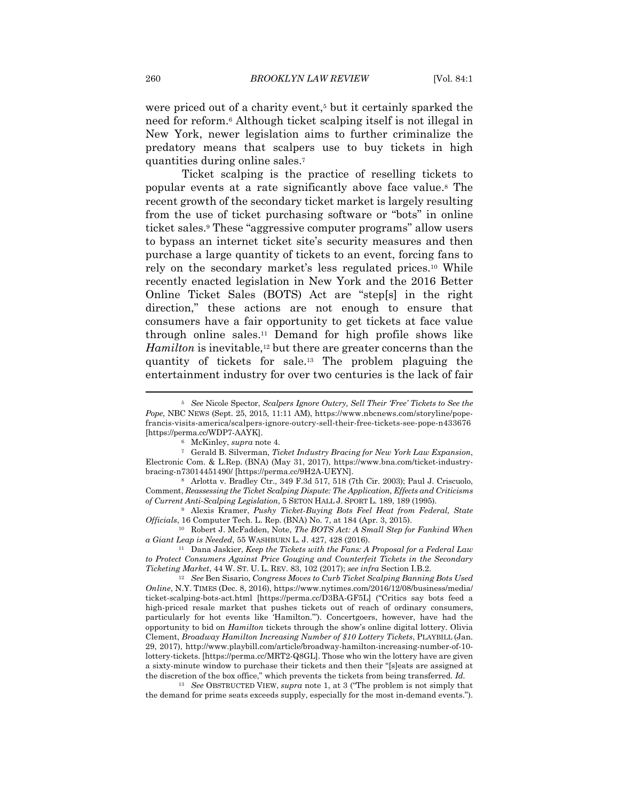were priced out of a charity event,<sup>5</sup> but it certainly sparked the need for reform.6 Although ticket scalping itself is not illegal in New York, newer legislation aims to further criminalize the predatory means that scalpers use to buy tickets in high quantities during online sales.7

Ticket scalping is the practice of reselling tickets to popular events at a rate significantly above face value.8 The recent growth of the secondary ticket market is largely resulting from the use of ticket purchasing software or "bots" in online ticket sales.9 These "aggressive computer programs" allow users to bypass an internet ticket site's security measures and then purchase a large quantity of tickets to an event, forcing fans to rely on the secondary market's less regulated prices.10 While recently enacted legislation in New York and the 2016 Better Online Ticket Sales (BOTS) Act are "step[s] in the right direction," these actions are not enough to ensure that consumers have a fair opportunity to get tickets at face value through online sales.11 Demand for high profile shows like *Hamilton* is inevitable,<sup>12</sup> but there are greater concerns than the quantity of tickets for sale.13 The problem plaguing the entertainment industry for over two centuries is the lack of fair

<sup>5</sup> *See* Nicole Spector, *Scalpers Ignore Outcry, Sell Their 'Free' Tickets to See the Pope*, NBC NEWS (Sept. 25, 2015, 11:11 AM), https://www.nbcnews.com/storyline/popefrancis-visits-america/scalpers-ignore-outcry-sell-their-free-tickets-see-pope-n433676 [https://perma.cc/WDP7-AAYK]. 6 McKinley, *supra* note 4. 7 Gerald B. Silverman, *Ticket Industry Bracing for New York Law Expansion*,

Electronic Com. & L.Rep. (BNA) (May 31, 2017), https://www.bna.com/ticket-industrybracing-n73014451490/ [https://perma.cc/9H2A-UEYN]. 8 Arlotta v. Bradley Ctr., 349 F.3d 517, 518 (7th Cir. 2003); Paul J. Criscuolo,

Comment, *Reassessing the Ticket Scalping Dispute: The Application, Effects and Criticisms of Current Anti-Scalping Legislation*, 5 SETON HALL J. SPORT L. 189, 189 (1995). 9 Alexis Kramer, *Pushy Ticket-Buying Bots Feel Heat from Federal, State* 

*Officials*, 16 Computer Tech. L. Rep. (BNA) No. 7, at 184 (Apr. 3, 2015). 10 Robert J. McFadden, Note, *The BOTS Act: A Small Step for Fankind When* 

*a Giant Leap is Needed*, 55 WASHBURN L. J. 427, 428 (2016). 11 Dana Jaskier, *Keep the Tickets with the Fans: A Proposal for a Federal Law* 

*to Protect Consumers Against Price Gouging and Counterfeit Tickets in the Secondary Ticketing Market*, 44 W. ST. U. L. REV. 83, 102 (2017); *see infra* Section I.B.2. 12 *See* Ben Sisario, *Congress Moves to Curb Ticket Scalping Banning Bots Used* 

*Online*, N.Y. TIMES (Dec. 8, 2016), https://www.nytimes.com/2016/12/08/business/media/ ticket-scalping-bots-act.html [https://perma.cc/D3BA-GF5L] ("Critics say bots feed a high-priced resale market that pushes tickets out of reach of ordinary consumers, particularly for hot events like 'Hamilton.'"). Concertgoers, however, have had the opportunity to bid on *Hamilton* tickets through the show's online digital lottery. Olivia Clement, *Broadway Hamilton Increasing Number of \$10 Lottery Tickets*, PLAYBILL (Jan. 29, 2017), http://www.playbill.com/article/broadway-hamilton-increasing-number-of-10 lottery-tickets. [https://perma.cc/MRT2-Q8GL]. Those who win the lottery have are given a sixty-minute window to purchase their tickets and then their "[s]eats are assigned at the discretion of the box office," which prevents the tickets from being transferred. *Id.*

<sup>13</sup> *See* OBSTRUCTED VIEW, *supra* note 1, at 3 ("The problem is not simply that the demand for prime seats exceeds supply, especially for the most in-demand events.").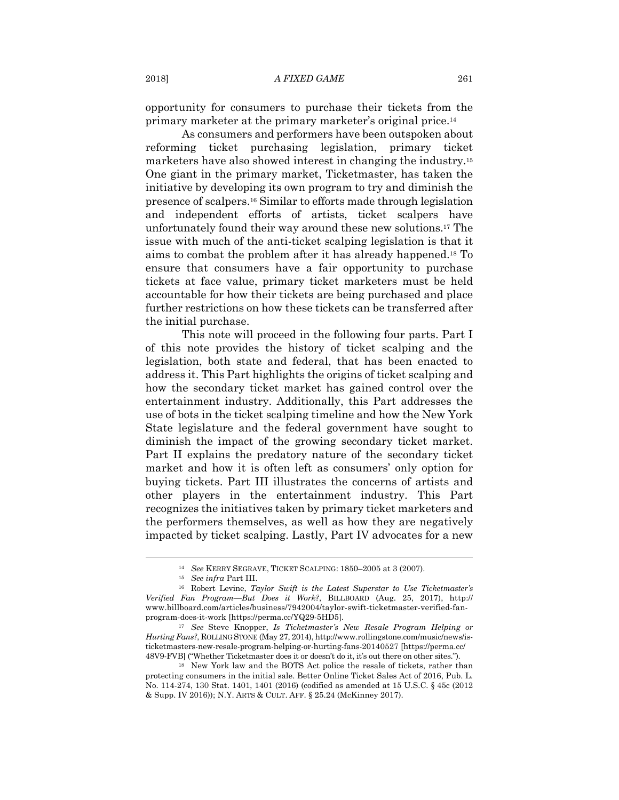opportunity for consumers to purchase their tickets from the primary marketer at the primary marketer's original price.14

As consumers and performers have been outspoken about reforming ticket purchasing legislation, primary ticket marketers have also showed interest in changing the industry.15 One giant in the primary market, Ticketmaster, has taken the initiative by developing its own program to try and diminish the presence of scalpers.16 Similar to efforts made through legislation and independent efforts of artists, ticket scalpers have unfortunately found their way around these new solutions.17 The issue with much of the anti-ticket scalping legislation is that it aims to combat the problem after it has already happened.18 To ensure that consumers have a fair opportunity to purchase tickets at face value, primary ticket marketers must be held accountable for how their tickets are being purchased and place further restrictions on how these tickets can be transferred after the initial purchase.

This note will proceed in the following four parts. Part I of this note provides the history of ticket scalping and the legislation, both state and federal, that has been enacted to address it. This Part highlights the origins of ticket scalping and how the secondary ticket market has gained control over the entertainment industry. Additionally, this Part addresses the use of bots in the ticket scalping timeline and how the New York State legislature and the federal government have sought to diminish the impact of the growing secondary ticket market. Part II explains the predatory nature of the secondary ticket market and how it is often left as consumers' only option for buying tickets. Part III illustrates the concerns of artists and other players in the entertainment industry. This Part recognizes the initiatives taken by primary ticket marketers and the performers themselves, as well as how they are negatively impacted by ticket scalping. Lastly, Part IV advocates for a new

<sup>14</sup> *See* KERRY SEGRAVE, TICKET SCALPING: 1850–2005 at 3 (2007). 15 *See infra* Part III. 16 Robert Levine, *Taylor Swift is the Latest Superstar to Use Ticketmaster's Verified Fan Program—But Does it Work?*, BILLBOARD (Aug. 25, 2017), http:// www.billboard.com/articles/business/7942004/taylor-swift-ticketmaster-verified-fanprogram-does-it-work [https://perma.cc/YQ29-5HD5]. 17 *See* Steve Knopper, *Is Ticketmaster's New Resale Program Helping or* 

*Hurting Fans?*, ROLLING STONE (May 27, 2014), http://www.rollingstone.com/music/news/isticketmasters-new-resale-program-helping-or-hurting-fans-20140527 [https://perma.cc/ 48V9-FVB] ("Whether Ticketmaster does it or doesn't do it, it's out there on other sites."). 18 New York law and the BOTS Act police the resale of tickets, rather than

protecting consumers in the initial sale. Better Online Ticket Sales Act of 2016, Pub. L. No. 114-274, 130 Stat. 1401, 1401 (2016) (codified as amended at 15 U.S.C. § 45c (2012 & Supp. IV 2016)); N.Y. ARTS & CULT. AFF. § 25.24 (McKinney 2017).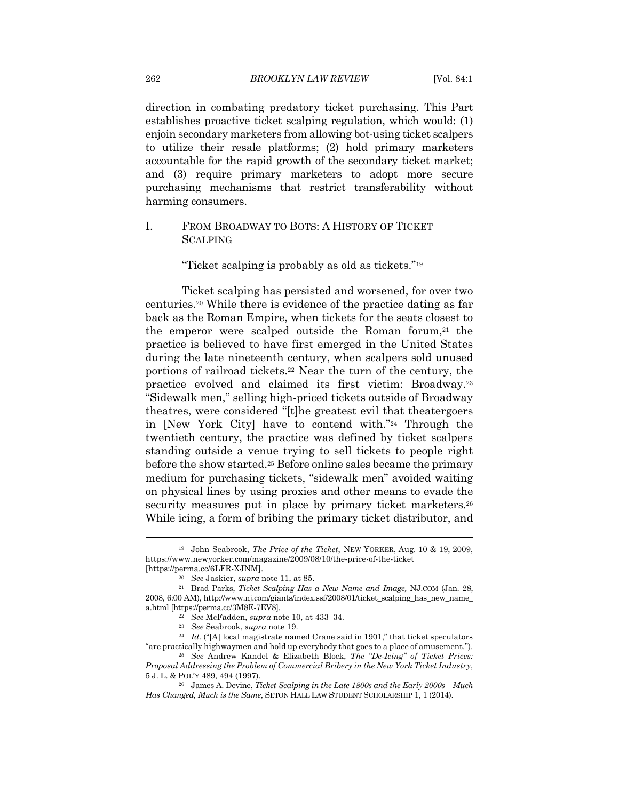direction in combating predatory ticket purchasing. This Part establishes proactive ticket scalping regulation, which would: (1) enjoin secondary marketers from allowing bot-using ticket scalpers to utilize their resale platforms; (2) hold primary marketers accountable for the rapid growth of the secondary ticket market; and (3) require primary marketers to adopt more secure purchasing mechanisms that restrict transferability without harming consumers.

# I. FROM BROADWAY TO BOTS: A HISTORY OF TICKET **SCALPING**

"Ticket scalping is probably as old as tickets."19

Ticket scalping has persisted and worsened, for over two centuries.20 While there is evidence of the practice dating as far back as the Roman Empire, when tickets for the seats closest to the emperor were scalped outside the Roman forum, $21$  the practice is believed to have first emerged in the United States during the late nineteenth century, when scalpers sold unused portions of railroad tickets.22 Near the turn of the century, the practice evolved and claimed its first victim: Broadway.23 "Sidewalk men," selling high-priced tickets outside of Broadway theatres, were considered "[t]he greatest evil that theatergoers in [New York City] have to contend with."24 Through the twentieth century, the practice was defined by ticket scalpers standing outside a venue trying to sell tickets to people right before the show started.25 Before online sales became the primary medium for purchasing tickets, "sidewalk men" avoided waiting on physical lines by using proxies and other means to evade the security measures put in place by primary ticket marketers.<sup>26</sup> While icing, a form of bribing the primary ticket distributor, and

<sup>19</sup> John Seabrook, *The Price of the Ticket*, NEW YORKER, Aug. 10 & 19, 2009, https://www.newyorker.com/magazine/2009/08/10/the-price-of-the-ticket

<sup>[</sup>https://perma.cc/6LFR-XJNM]. 20 *See* Jaskier, *supra* note 11, at 85. 21 Brad Parks, *Ticket Scalping Has a New Name and Image,* NJ.COM (Jan. 28, 2008, 6:00 AM), http://www.nj.com/giants/index.ssf/2008/01/ticket\_scalping\_has\_new\_name\_ a.html [https://perma.cc/3M8E-7EV8].<br>
<sup>22</sup> See McFadden, *supra* note 10, at 433–34.<br>
<sup>23</sup> See Seabrook, *supra* note 19.<br>
<sup>24</sup> Id. ("[A] local magistrate named Crane said in 1901," that ticket speculators

<sup>&</sup>quot;are practically highwaymen and hold up everybody that goes to a place of amusement."). 25 *See* Andrew Kandel & Elizabeth Block, *The "De-Icing" of Ticket Prices:* 

*Proposal Addressing the Problem of Commercial Bribery in the New York Ticket Industry*, <sup>5</sup> J. L. & POL'Y 489, 494 (1997). 26 James A. Devine, *Ticket Scalping in the Late 1800s and the Early 2000s—Much* 

*Has Changed, Much is the Same*, SETON HALL LAW STUDENT SCHOLARSHIP 1, 1 (2014).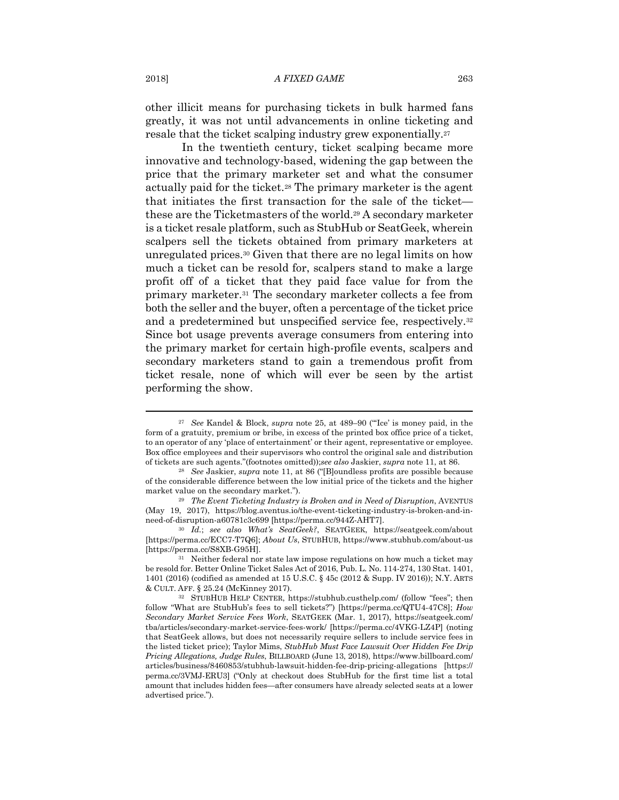other illicit means for purchasing tickets in bulk harmed fans greatly, it was not until advancements in online ticketing and resale that the ticket scalping industry grew exponentially.27

In the twentieth century, ticket scalping became more innovative and technology-based, widening the gap between the price that the primary marketer set and what the consumer actually paid for the ticket.28 The primary marketer is the agent that initiates the first transaction for the sale of the ticket these are the Ticketmasters of the world.29 A secondary marketer is a ticket resale platform, such as StubHub or SeatGeek, wherein scalpers sell the tickets obtained from primary marketers at unregulated prices.30 Given that there are no legal limits on how much a ticket can be resold for, scalpers stand to make a large profit off of a ticket that they paid face value for from the primary marketer.31 The secondary marketer collects a fee from both the seller and the buyer, often a percentage of the ticket price and a predetermined but unspecified service fee, respectively.32 Since bot usage prevents average consumers from entering into the primary market for certain high-profile events, scalpers and secondary marketers stand to gain a tremendous profit from ticket resale, none of which will ever be seen by the artist performing the show.

<sup>27</sup> *See* Kandel & Block, *supra* note 25, at 489–90 ("'Ice' is money paid, in the form of a gratuity, premium or bribe, in excess of the printed box office price of a ticket, to an operator of any 'place of entertainment' or their agent, representative or employee. Box office employees and their supervisors who control the original sale and distribution of tickets are such agents."(footnotes omitted));*see also* Jaskier, *supra* note 11, at 86. 28 *See* Jaskier, *supra* note 11, at 86 ("[B]oundless profits are possible because

of the considerable difference between the low initial price of the tickets and the higher market value on the secondary market."). 29 *The Event Ticketing Industry is Broken and in Need of Disruption*, AVENTUS

<sup>(</sup>May 19, 2017), https://blog.aventus.io/the-event-ticketing-industry-is-broken-and-inneed-of-disruption-a60781c3c699 [https://perma.cc/944Z-AHT7]. 30 *Id.*; *see also What's SeatGeek?*, SEATGEEK, https://seatgeek.com/about

<sup>[</sup>https://perma.cc/ECC7-T7Q6]; *About Us*, STUBHUB, https://www.stubhub.com/about-us [https://perma.cc/S8XB-G95H]. 31 Neither federal nor state law impose regulations on how much a ticket may

be resold for. Better Online Ticket Sales Act of 2016, Pub. L. No. 114-274, 130 Stat. 1401, 1401 (2016) (codified as amended at 15 U.S.C. § 45c (2012 & Supp. IV 2016)); N.Y. ARTS & CULT. AFF. § 25.24 (McKinney 2017). 32 STUBHUB HELP CENTER, https://stubhub.custhelp.com/ (follow "fees"; then

follow "What are StubHub's fees to sell tickets?") [https://perma.cc/QTU4-47C8]; *How Secondary Market Service Fees Work*, SEATGEEK (Mar. 1, 2017), https://seatgeek.com/ tba/articles/secondary-market-service-fees-work/ [https://perma.cc/4VKG-LZ4P] (noting that SeatGeek allows, but does not necessarily require sellers to include service fees in the listed ticket price); Taylor Mims, *StubHub Must Face Lawsuit Over Hidden Fee Drip Pricing Allegations, Judge Rules*, BILLBOARD (June 13, 2018), https://www.billboard.com/ articles/business/8460853/stubhub-lawsuit-hidden-fee-drip-pricing-allegations [https:// perma.cc/3VMJ-ERU3] ("Only at checkout does StubHub for the first time list a total amount that includes hidden fees—after consumers have already selected seats at a lower advertised price.").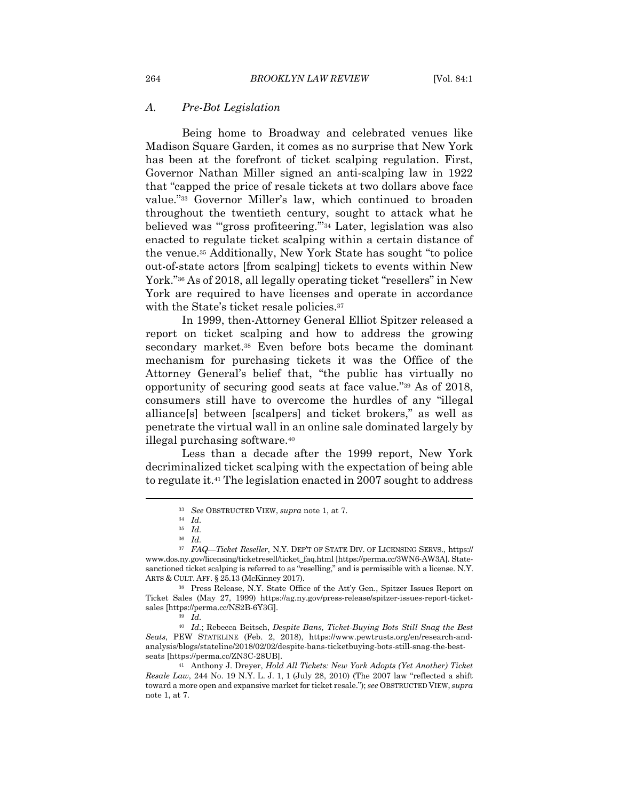#### *A. Pre-Bot Legislation*

Being home to Broadway and celebrated venues like Madison Square Garden, it comes as no surprise that New York has been at the forefront of ticket scalping regulation. First, Governor Nathan Miller signed an anti-scalping law in 1922 that "capped the price of resale tickets at two dollars above face value."33 Governor Miller's law, which continued to broaden throughout the twentieth century, sought to attack what he believed was "'gross profiteering.'"34 Later, legislation was also enacted to regulate ticket scalping within a certain distance of the venue.35 Additionally, New York State has sought "to police out-of-state actors [from scalping] tickets to events within New York."36 As of 2018, all legally operating ticket "resellers" in New York are required to have licenses and operate in accordance with the State's ticket resale policies.<sup>37</sup>

In 1999, then-Attorney General Elliot Spitzer released a report on ticket scalping and how to address the growing secondary market.<sup>38</sup> Even before bots became the dominant mechanism for purchasing tickets it was the Office of the Attorney General's belief that, "the public has virtually no opportunity of securing good seats at face value."39 As of 2018, consumers still have to overcome the hurdles of any "illegal alliance[s] between [scalpers] and ticket brokers," as well as penetrate the virtual wall in an online sale dominated largely by illegal purchasing software.40

Less than a decade after the 1999 report, New York decriminalized ticket scalping with the expectation of being able to regulate it.41 The legislation enacted in 2007 sought to address

<sup>33</sup> *See* OBSTRUCTED VIEW, *supra* note 1, at 7. 34 *Id.*

<sup>35</sup> *Id.*

<sup>36</sup> *Id.*

<sup>37</sup> *FAQ—Ticket Reseller*, N.Y. DEP'T OF STATE DIV. OF LICENSING SERVS., https:// www.dos.ny.gov/licensing/ticketresell/ticket\_faq.html [https://perma.cc/3WN6-AW3A]. Statesanctioned ticket scalping is referred to as "reselling," and is permissible with a license. N.Y. ARTS & CULT. AFF. § 25.13 (McKinney 2017).<br><sup>38</sup> Press Release, N.Y. State Office of the Att'y Gen., Spitzer Issues Report on

Ticket Sales (May 27, 1999) https://ag.ny.gov/press-release/spitzer-issues-report-ticketsales [https://perma.cc/NS2B-6Y3G]. 39 *Id.*

<sup>40</sup> *Id.*; Rebecca Beitsch, *Despite Bans, Ticket-Buying Bots Still Snag the Best Seats*, PEW STATELINE (Feb. 2, 2018), https://www.pewtrusts.org/en/research-andanalysis/blogs/stateline/2018/02/02/despite-bans-ticketbuying-bots-still-snag-the-bestseats [https://perma.cc/ZN3C-28UB]. 41 Anthony J. Dreyer, *Hold All Tickets: New York Adopts (Yet Another) Ticket* 

*Resale Law*, 244 No. 19 N.Y. L. J. 1, 1 (July 28, 2010) (The 2007 law "reflected a shift toward a more open and expansive market for ticket resale."); *see* OBSTRUCTED VIEW, *supra*  note 1, at 7.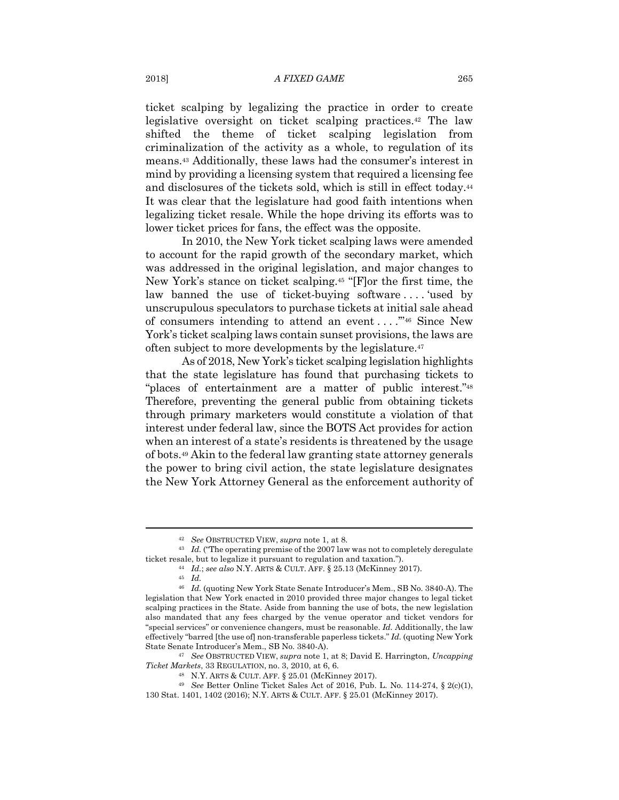ticket scalping by legalizing the practice in order to create legislative oversight on ticket scalping practices.42 The law shifted the theme of ticket scalping legislation from criminalization of the activity as a whole, to regulation of its means.43 Additionally, these laws had the consumer's interest in mind by providing a licensing system that required a licensing fee and disclosures of the tickets sold, which is still in effect today.44 It was clear that the legislature had good faith intentions when legalizing ticket resale. While the hope driving its efforts was to lower ticket prices for fans, the effect was the opposite.

In 2010, the New York ticket scalping laws were amended to account for the rapid growth of the secondary market, which was addressed in the original legislation, and major changes to New York's stance on ticket scalping.45 "[F]or the first time, the law banned the use of ticket-buying software ... . 'used by unscrupulous speculators to purchase tickets at initial sale ahead of consumers intending to attend an event . . . .'"46 Since New York's ticket scalping laws contain sunset provisions, the laws are often subject to more developments by the legislature.47

As of 2018, New York's ticket scalping legislation highlights that the state legislature has found that purchasing tickets to "places of entertainment are a matter of public interest."48 Therefore, preventing the general public from obtaining tickets through primary marketers would constitute a violation of that interest under federal law, since the BOTS Act provides for action when an interest of a state's residents is threatened by the usage of bots.49 Akin to the federal law granting state attorney generals the power to bring civil action, the state legislature designates the New York Attorney General as the enforcement authority of

*Ticket Markets*, 33 REGULATION, no. 3, 2010, at 6, 6.<br><sup>48</sup> N.Y. ARTS & CULT. AFF. § 25.01 (McKinney 2017).<br><sup>49</sup> *See* Better Online Ticket Sales Act of 2016, Pub. L. No. 114-274, § 2(c)(1),

<sup>42</sup> *See* OBSTRUCTED VIEW, *supra* note 1, at 8. 43 *Id.* ("The operating premise of the 2007 law was not to completely deregulate ticket resale, but to legalize it pursuant to regulation and taxation.").<br><sup>44</sup> *Id.*; *see also* N.Y. ARTS & CULT. AFF. § 25.13 (McKinney 2017).<br><sup>45</sup> *Id.* 

<sup>46</sup> *Id.* (quoting New York State Senate Introducer's Mem., SB No. 3840-A). The legislation that New York enacted in 2010 provided three major changes to legal ticket scalping practices in the State. Aside from banning the use of bots, the new legislation also mandated that any fees charged by the venue operator and ticket vendors for "special services" or convenience changers, must be reasonable. *Id.* Additionally, the law effectively "barred [the use of] non-transferable paperless tickets." *Id.* (quoting New York State Senate Introducer's Mem., SB No. 3840-A). 47 *See* OBSTRUCTED VIEW, *supra* note 1, at 8; David E. Harrington, *Uncapping* 

<sup>130</sup> Stat. 1401, 1402 (2016); N.Y. ARTS & CULT. AFF. § 25.01 (McKinney 2017).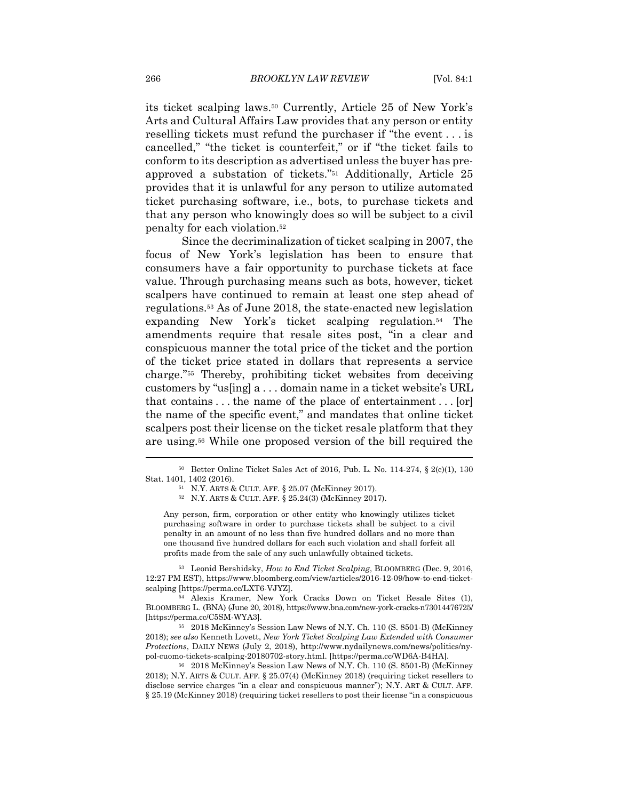its ticket scalping laws.50 Currently, Article 25 of New York's Arts and Cultural Affairs Law provides that any person or entity reselling tickets must refund the purchaser if "the event . . . is cancelled," "the ticket is counterfeit," or if "the ticket fails to conform to its description as advertised unless the buyer has preapproved a substation of tickets."51 Additionally, Article 25 provides that it is unlawful for any person to utilize automated ticket purchasing software, i.e., bots, to purchase tickets and that any person who knowingly does so will be subject to a civil penalty for each violation.52

Since the decriminalization of ticket scalping in 2007, the focus of New York's legislation has been to ensure that consumers have a fair opportunity to purchase tickets at face value. Through purchasing means such as bots, however, ticket scalpers have continued to remain at least one step ahead of regulations.53 As of June 2018, the state-enacted new legislation expanding New York's ticket scalping regulation.54 The amendments require that resale sites post, "in a clear and conspicuous manner the total price of the ticket and the portion of the ticket price stated in dollars that represents a service charge."55 Thereby, prohibiting ticket websites from deceiving customers by "us[ing] a . . . domain name in a ticket website's URL that contains . . . the name of the place of entertainment . . . [or] the name of the specific event," and mandates that online ticket scalpers post their license on the ticket resale platform that they are using.56 While one proposed version of the bill required the

Any person, firm, corporation or other entity who knowingly utilizes ticket purchasing software in order to purchase tickets shall be subject to a civil penalty in an amount of no less than five hundred dollars and no more than one thousand five hundred dollars for each such violation and shall forfeit all profits made from the sale of any such unlawfully obtained tickets.

53 Leonid Bershidsky, *How to End Ticket Scalping*, BLOOMBERG (Dec. 9, 2016, 12:27 PM EST), https://www.bloomberg.com/view/articles/2016-12-09/how-to-end-ticketscalping [https://perma.cc/LXT6-VJYZ]. 54 Alexis Kramer, New York Cracks Down on Ticket Resale Sites (1),

BLOOMBERG L. (BNA) (June 20, 2018), https://www.bna.com/new-york-cracks-n73014476725/ [https://perma.cc/C5SM-WYA3]. 55 2018 McKinney's Session Law News of N.Y. Ch. 110 (S. 8501-B) (McKinney

2018); *see also* Kenneth Lovett, *New York Ticket Scalping Law Extended with Consumer Protections*, DAILY NEWS (July 2, 2018), http://www.nydailynews.com/news/politics/nypol-cuomo-tickets-scalping-20180702-story.html. [https://perma.cc/WD6A-B4HA]. 56 2018 McKinney's Session Law News of N.Y. Ch. 110 (S. 8501-B) (McKinney

2018); N.Y. ARTS & CULT. AFF. § 25.07(4) (McKinney 2018) (requiring ticket resellers to disclose service charges "in a clear and conspicuous manner"); N.Y. ART & CULT. AFF. § 25.19 (McKinney 2018) (requiring ticket resellers to post their license "in a conspicuous

<sup>50</sup> Better Online Ticket Sales Act of 2016, Pub. L. No. 114-274, § 2(c)(1), 130 Stat. 1401, 1402 (2016). 51 N.Y. ARTS & CULT. AFF. § 25.07 (McKinney 2017). 52 N.Y. ARTS & CULT. AFF. § 25.24(3) (McKinney 2017).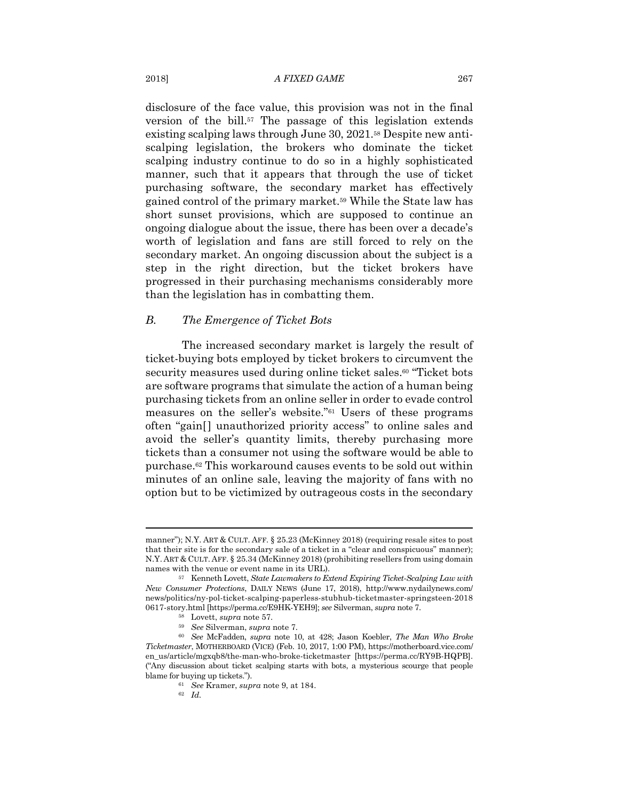### 2018] *A FIXED GAME* 267

disclosure of the face value, this provision was not in the final version of the bill.57 The passage of this legislation extends existing scalping laws through June 30, 2021.58 Despite new antiscalping legislation, the brokers who dominate the ticket scalping industry continue to do so in a highly sophisticated manner, such that it appears that through the use of ticket purchasing software, the secondary market has effectively gained control of the primary market.59 While the State law has short sunset provisions, which are supposed to continue an ongoing dialogue about the issue, there has been over a decade's worth of legislation and fans are still forced to rely on the secondary market. An ongoing discussion about the subject is a step in the right direction, but the ticket brokers have progressed in their purchasing mechanisms considerably more than the legislation has in combatting them.

# *B. The Emergence of Ticket Bots*

The increased secondary market is largely the result of ticket-buying bots employed by ticket brokers to circumvent the security measures used during online ticket sales.<sup>60</sup> "Ticket bots are software programs that simulate the action of a human being purchasing tickets from an online seller in order to evade control measures on the seller's website."61 Users of these programs often "gain[] unauthorized priority access" to online sales and avoid the seller's quantity limits, thereby purchasing more tickets than a consumer not using the software would be able to purchase.62 This workaround causes events to be sold out within minutes of an online sale, leaving the majority of fans with no option but to be victimized by outrageous costs in the secondary

manner"); N.Y. ART & CULT. AFF. § 25.23 (McKinney 2018) (requiring resale sites to post that their site is for the secondary sale of a ticket in a "clear and conspicuous" manner); N.Y. ART & CULT. AFF. § 25.34 (McKinney 2018) (prohibiting resellers from using domain names with the venue or event name in its URL). 57 Kenneth Lovett, *State Lawmakers to Extend Expiring Ticket-Scalping Law with* 

*New Consumer Protections*, DAILY NEWS (June 17, 2018), http://www.nydailynews.com/ news/politics/ny-pol-ticket-scalping-paperless-stubhub-ticketmaster-springsteen-2018 0617-story.html [https://perma.cc/E9HK-YEH9]; see Silverman, supra note 7.<br><sup>58</sup> Lovett, supra note 57.<br><sup>59</sup> See Silverman, supra note 7.<br><sup>59</sup> See Silverman, supra note 7.<br><sup>59</sup> See McFadden, supra note 10, at 428; Jason Ko

*Ticketmaster*, MOTHERBOARD (VICE) (Feb. 10, 2017, 1:00 PM), https://motherboard.vice.com/ en\_us/article/mgxqb8/the-man-who-broke-ticketmaster [https://perma.cc/RY9B-HQPB]. ("Any discussion about ticket scalping starts with bots, a mysterious scourge that people blame for buying up tickets."). 61 *See* Kramer, *supra* note 9, at 184. 62 *Id.*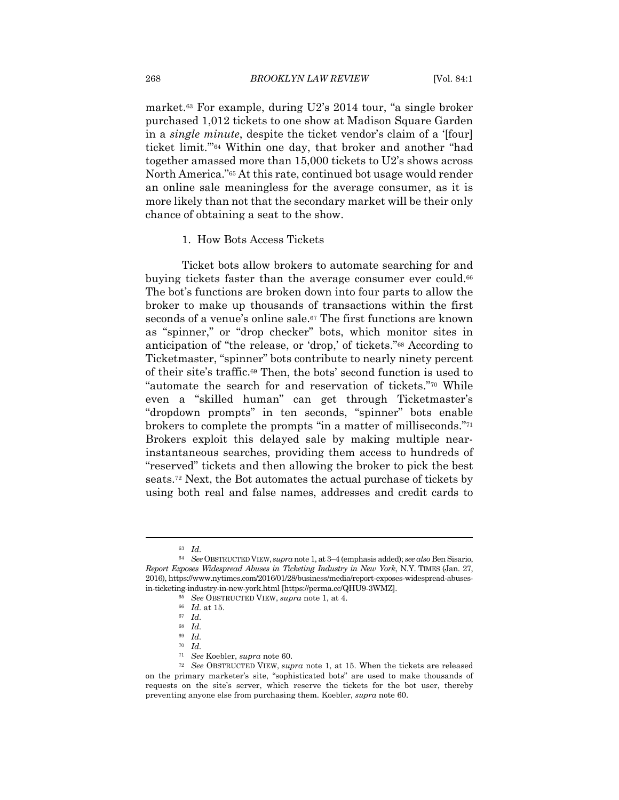market.63 For example, during U2's 2014 tour, "a single broker purchased 1,012 tickets to one show at Madison Square Garden in a *single minute*, despite the ticket vendor's claim of a '[four] ticket limit.'"64 Within one day, that broker and another "had together amassed more than 15,000 tickets to U2's shows across North America."65 At this rate, continued bot usage would render an online sale meaningless for the average consumer, as it is more likely than not that the secondary market will be their only chance of obtaining a seat to the show.

#### 1. How Bots Access Tickets

Ticket bots allow brokers to automate searching for and buying tickets faster than the average consumer ever could.<sup>66</sup> The bot's functions are broken down into four parts to allow the broker to make up thousands of transactions within the first seconds of a venue's online sale.<sup>67</sup> The first functions are known as "spinner," or "drop checker" bots, which monitor sites in anticipation of "the release, or 'drop,' of tickets."68 According to Ticketmaster, "spinner" bots contribute to nearly ninety percent of their site's traffic.69 Then, the bots' second function is used to "automate the search for and reservation of tickets."70 While even a "skilled human" can get through Ticketmaster's "dropdown prompts" in ten seconds, "spinner" bots enable brokers to complete the prompts "in a matter of milliseconds."71 Brokers exploit this delayed sale by making multiple nearinstantaneous searches, providing them access to hundreds of "reserved" tickets and then allowing the broker to pick the best seats.72 Next, the Bot automates the actual purchase of tickets by using both real and false names, addresses and credit cards to

<sup>63</sup> *Id.*

<sup>64</sup> *See* OBSTRUCTED VIEW, *supra* note 1, at 3–4 (emphasis added); *see also* Ben Sisario, *Report Exposes Widespread Abuses in Ticketing Industry in New York*, N.Y. TIMES (Jan. 27, 2016), https://www.nytimes.com/2016/01/28/business/media/report-exposes-widespread-abusesin-ticketing-industry-in-new-york.html [https://perma.cc/QHU9-3WMZ]. 65 *See* OBSTRUCTED VIEW, *supra* note 1, at 4. 66 *Id.* at 15. 67 *Id.*

<sup>68</sup> *Id.*

<sup>69</sup> *Id.*

<sup>70</sup> *Id.*

<sup>71</sup> *See* Koebler, *supra* note 60. 72 *See* OBSTRUCTED VIEW, *supra* note 1, at 15. When the tickets are released on the primary marketer's site, "sophisticated bots" are used to make thousands of requests on the site's server, which reserve the tickets for the bot user, thereby preventing anyone else from purchasing them. Koebler, *supra* note 60.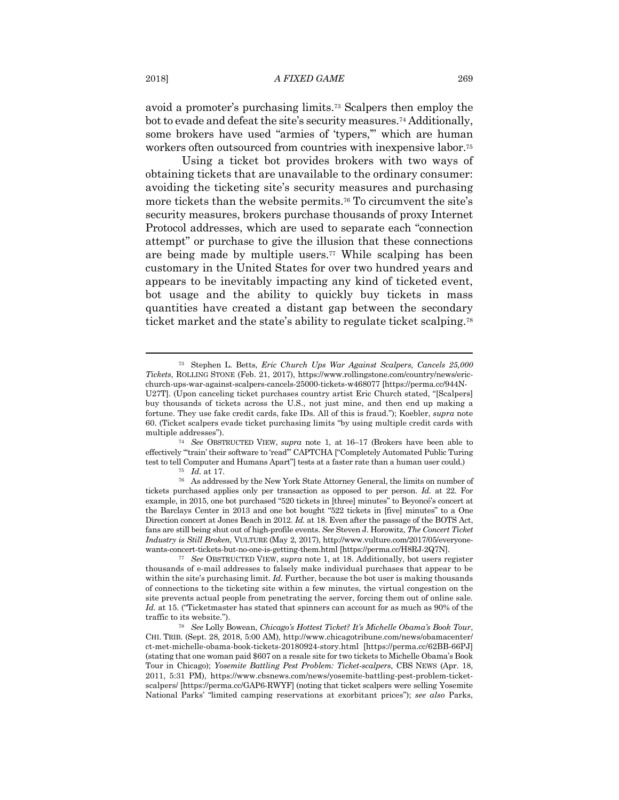avoid a promoter's purchasing limits.73 Scalpers then employ the bot to evade and defeat the site's security measures.74 Additionally, some brokers have used "armies of 'typers,'" which are human workers often outsourced from countries with inexpensive labor.75

Using a ticket bot provides brokers with two ways of obtaining tickets that are unavailable to the ordinary consumer: avoiding the ticketing site's security measures and purchasing more tickets than the website permits.76 To circumvent the site's security measures, brokers purchase thousands of proxy Internet Protocol addresses, which are used to separate each "connection attempt" or purchase to give the illusion that these connections are being made by multiple users.77 While scalping has been customary in the United States for over two hundred years and appears to be inevitably impacting any kind of ticketed event, bot usage and the ability to quickly buy tickets in mass quantities have created a distant gap between the secondary ticket market and the state's ability to regulate ticket scalping.78

multiple addresses"). 74 *See* OBSTRUCTED VIEW, *supra* note 1, at 16–17 (Brokers have been able to effectively "'train' their software to 'read'" CAPTCHA ["Completely Automated Public Turing test to tell Computer and Humans Apart"] tests at a faster rate than a human user could.) <sup>75</sup> *Id.* at 17. <sup>76</sup> As addressed by the New York State Attorney General, the limits on number of

<sup>73</sup> Stephen L. Betts, *Eric Church Ups War Against Scalpers, Cancels 25,000 Tickets*, ROLLING STONE (Feb. 21, 2017), https://www.rollingstone.com/country/news/ericchurch-ups-war-against-scalpers-cancels-25000-tickets-w468077 [https://perma.cc/944N-U27T]. (Upon canceling ticket purchases country artist Eric Church stated, "[Scalpers] buy thousands of tickets across the U.S., not just mine, and then end up making a fortune. They use fake credit cards, fake IDs. All of this is fraud."); Koebler, *supra* note 60. (Ticket scalpers evade ticket purchasing limits "by using multiple credit cards with

tickets purchased applies only per transaction as opposed to per person. *Id.* at 22. For example, in 2015, one bot purchased "520 tickets in [three] minutes" to Beyoncé's concert at the Barclays Center in 2013 and one bot bought "522 tickets in [five] minutes" to a One Direction concert at Jones Beach in 2012. *Id.* at 18. Even after the passage of the BOTS Act, fans are still being shut out of high-profile events. *See* Steven J. Horowitz, *The Concert Ticket Industry is Still Broken,* VULTURE (May 2, 2017), http://www.vulture.com/2017/05/everyonewants-concert-tickets-but-no-one-is-getting-them.html [https://perma.cc/H8RJ-2Q7N]. 77 *See* OBSTRUCTED VIEW, *supra* note 1, at 18. Additionally, bot users register

thousands of e-mail addresses to falsely make individual purchases that appear to be within the site's purchasing limit. *Id.* Further, because the bot user is making thousands of connections to the ticketing site within a few minutes, the virtual congestion on the site prevents actual people from penetrating the server, forcing them out of online sale*. Id.* at 15. ("Ticketmaster has stated that spinners can account for as much as 90% of the traffic to its website."). 78 *See* Lolly Bowean, *Chicago's Hottest Ticket? It's Michelle Obama's Book Tour*,

CHI. TRIB. (Sept. 28, 2018, 5:00 AM), http://www.chicagotribune.com/news/obamacenter/ ct-met-michelle-obama-book-tickets-20180924-story.html [https://perma.cc/62BB-66PJ] (stating that one woman paid \$607 on a resale site for two tickets to Michelle Obama's Book Tour in Chicago); *Yosemite Battling Pest Problem: Ticket-scalpers*, CBS NEWS (Apr. 18, 2011, 5:31 PM), https://www.cbsnews.com/news/yosemite-battling-pest-problem-ticketscalpers/ [https://perma.cc/GAP6-RWYF] (noting that ticket scalpers were selling Yosemite National Parks' "limited camping reservations at exorbitant prices"); *see also* Parks,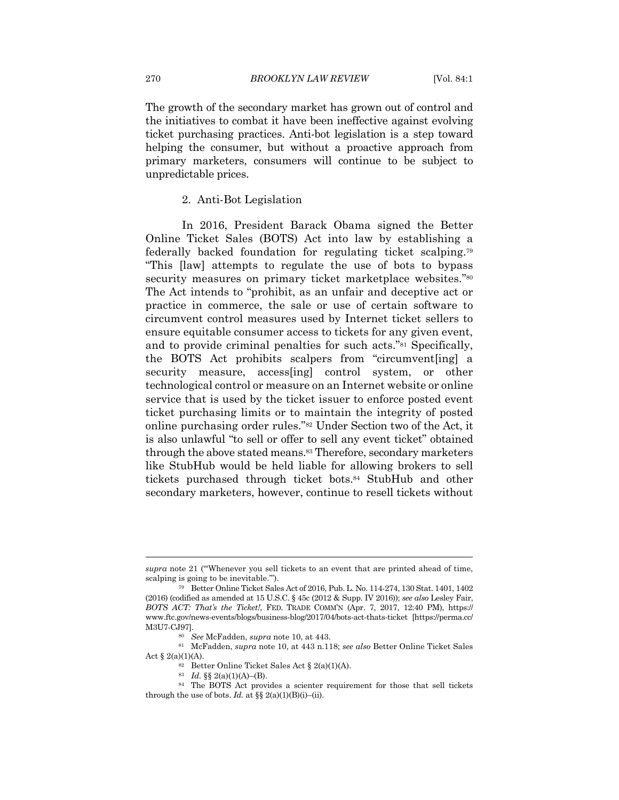The growth of the secondary market has grown out of control and the initiatives to combat it have been ineffective against evolving ticket purchasing practices. Anti-bot legislation is a step toward helping the consumer, but without a proactive approach from primary marketers, consumers will continue to be subject to unpredictable prices.

# 2. Anti-Bot Legislation

In 2016, President Barack Obama signed the Better Online Ticket Sales (BOTS) Act into law by establishing a federally backed foundation for regulating ticket scalping.79 "This [law] attempts to regulate the use of bots to bypass security measures on primary ticket marketplace websites."<sup>80</sup> The Act intends to "prohibit, as an unfair and deceptive act or practice in commerce, the sale or use of certain software to circumvent control measures used by Internet ticket sellers to ensure equitable consumer access to tickets for any given event, and to provide criminal penalties for such acts."81 Specifically, the BOTS Act prohibits scalpers from "circumvent[ing] a security measure, access[ing] control system, or other technological control or measure on an Internet website or online service that is used by the ticket issuer to enforce posted event ticket purchasing limits or to maintain the integrity of posted online purchasing order rules."82 Under Section two of the Act, it is also unlawful "to sell or offer to sell any event ticket" obtained through the above stated means.83 Therefore, secondary marketers like StubHub would be held liable for allowing brokers to sell tickets purchased through ticket bots.84 StubHub and other secondary marketers, however, continue to resell tickets without

Act § 2(a)(1)(A). <br>  $^{82}$  Better Online Ticket Sales Act § 2(a)(1)(A).  $^{83}$   $Id.$  §§ 2(a)(1)(A)–(B).

*supra* note 21 ("'Whenever you sell tickets to an event that are printed ahead of time, scalping is going to be inevitable.'"). 79 Better Online Ticket Sales Act of 2016, Pub. L. No. 114-274, 130 Stat. 1401, 1402

<sup>(2016) (</sup>codified as amended at 15 U.S.C. § 45c (2012 & Supp. IV 2016)); *see also* Lesley Fair, *BOTS ACT: That's the Ticket!*, FED. TRADE COMM'N (Apr. 7, 2017, 12:40 PM), https:// www.ftc.gov/news-events/blogs/business-blog/2017/04/bots-act-thats-ticket [https://perma.cc/ M3U7-CJ97]. 80 *See* McFadden, *supra* note 10, at 443. 81 McFadden, *supra* note 10, at 443 n.118; *see also* Better Online Ticket Sales

<sup>&</sup>lt;sup>84</sup> The BOTS Act provides a scienter requirement for those that sell tickets through the use of bots. *Id.* at  $\S\S 2(a)(1)(B)(i)$ –(ii).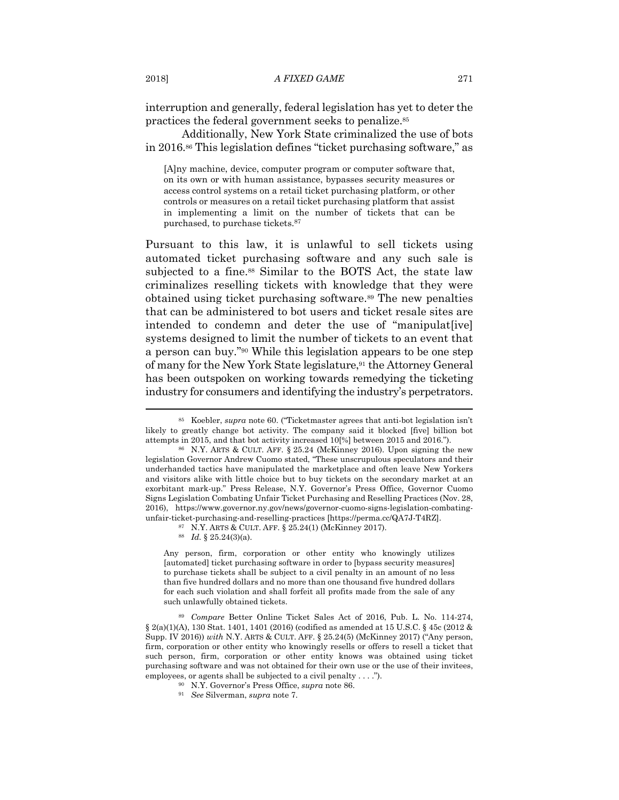interruption and generally, federal legislation has yet to deter the practices the federal government seeks to penalize.85

Additionally, New York State criminalized the use of bots in 2016.86 This legislation defines "ticket purchasing software," as

[A]ny machine, device, computer program or computer software that, on its own or with human assistance, bypasses security measures or access control systems on a retail ticket purchasing platform, or other controls or measures on a retail ticket purchasing platform that assist in implementing a limit on the number of tickets that can be purchased, to purchase tickets.87

Pursuant to this law, it is unlawful to sell tickets using automated ticket purchasing software and any such sale is subjected to a fine.<sup>88</sup> Similar to the BOTS Act, the state law criminalizes reselling tickets with knowledge that they were obtained using ticket purchasing software.89 The new penalties that can be administered to bot users and ticket resale sites are intended to condemn and deter the use of "manipulat[ive] systems designed to limit the number of tickets to an event that a person can buy."90 While this legislation appears to be one step of many for the New York State legislature,91 the Attorney General has been outspoken on working towards remedying the ticketing industry for consumers and identifying the industry's perpetrators.

Any person, firm, corporation or other entity who knowingly utilizes [automated] ticket purchasing software in order to [bypass security measures] to purchase tickets shall be subject to a civil penalty in an amount of no less than five hundred dollars and no more than one thousand five hundred dollars for each such violation and shall forfeit all profits made from the sale of any such unlawfully obtained tickets.

<sup>85</sup> Koebler, *supra* note 60. ("Ticketmaster agrees that anti-bot legislation isn't likely to greatly change bot activity. The company said it blocked [five] billion bot attempts in 2015, and that bot activity increased 10[%] between 2015 and 2016."). 86 N.Y. ARTS & CULT. AFF. § 25.24 (McKinney 2016). Upon signing the new

legislation Governor Andrew Cuomo stated, "These unscrupulous speculators and their underhanded tactics have manipulated the marketplace and often leave New Yorkers and visitors alike with little choice but to buy tickets on the secondary market at an exorbitant mark-up." Press Release, N.Y. Governor's Press Office, Governor Cuomo Signs Legislation Combating Unfair Ticket Purchasing and Reselling Practices (Nov. 28, 2016), https://www.governor.ny.gov/news/governor-cuomo-signs-legislation-combatingunfair-ticket-purchasing-and-reselling-practices [https://perma.cc/QA7J-T4RZ]. 87 N.Y. ARTS & CULT. AFF. § 25.24(1) (McKinney 2017). 88 *Id.* § 25.24(3)(a).

<sup>89</sup> *Compare* Better Online Ticket Sales Act of 2016, Pub. L. No. 114-274, § 2(a)(1)(A), 130 Stat. 1401, 1401 (2016) (codified as amended at 15 U.S.C. § 45c (2012 & Supp. IV 2016)) *with* N.Y. ARTS & CULT. AFF. § 25.24(5) (McKinney 2017) ("Any person, firm, corporation or other entity who knowingly resells or offers to resell a ticket that such person, firm, corporation or other entity knows was obtained using ticket purchasing software and was not obtained for their own use or the use of their invitees, employees, or agents shall be subjected to a civil penalty . . . ."). 90 N.Y. Governor's Press Office, *supra* note 86. 91 *See* Silverman, *supra* note 7.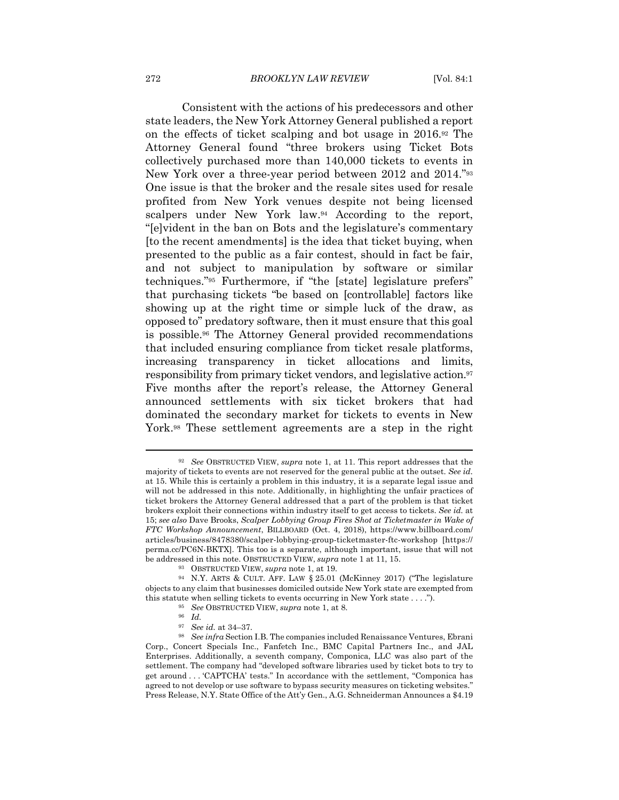Consistent with the actions of his predecessors and other state leaders, the New York Attorney General published a report on the effects of ticket scalping and bot usage in 2016.92 The Attorney General found "three brokers using Ticket Bots collectively purchased more than 140,000 tickets to events in New York over a three-year period between 2012 and 2014."93 One issue is that the broker and the resale sites used for resale profited from New York venues despite not being licensed scalpers under New York law.94 According to the report, "[e]vident in the ban on Bots and the legislature's commentary [to the recent amendments] is the idea that ticket buying, when presented to the public as a fair contest, should in fact be fair, and not subject to manipulation by software or similar techniques."95 Furthermore, if "the [state] legislature prefers" that purchasing tickets "be based on [controllable] factors like showing up at the right time or simple luck of the draw, as opposed to" predatory software, then it must ensure that this goal is possible.96 The Attorney General provided recommendations that included ensuring compliance from ticket resale platforms, increasing transparency in ticket allocations and limits, responsibility from primary ticket vendors, and legislative action.97 Five months after the report's release, the Attorney General announced settlements with six ticket brokers that had dominated the secondary market for tickets to events in New York.98 These settlement agreements are a step in the right

<sup>92</sup> *See* OBSTRUCTED VIEW, *supra* note 1, at 11. This report addresses that the majority of tickets to events are not reserved for the general public at the outset. *See id.*  at 15. While this is certainly a problem in this industry, it is a separate legal issue and will not be addressed in this note. Additionally, in highlighting the unfair practices of ticket brokers the Attorney General addressed that a part of the problem is that ticket brokers exploit their connections within industry itself to get access to tickets. *See id.* at 15; *see also* Dave Brooks, *Scalper Lobbying Group Fires Shot at Ticketmaster in Wake of FTC Workshop Announcement*, BILLBOARD (Oct. 4, 2018), https://www.billboard.com/ articles/business/8478380/scalper-lobbying-group-ticketmaster-ftc-workshop [https:// perma.cc/PC6N-BKTX]. This too is a separate, although important, issue that will not be addressed in this note. OBSTRUCTED VIEW, *supra* note 1 at 11, 15.<br><sup>93</sup> OBSTRUCTED VIEW, *supra* note 1, at 19.<br><sup>94</sup> N.Y. ARTS & CULT. AFF. LAW § 25.01 (McKinney 2017) ("The legislature

objects to any claim that businesses domiciled outside New York state are exempted from this statute when selling tickets to events occurring in New York state . . . ."). <sup>95</sup> See OBSTRUCTED VIEW, *supra* note 1, at 8. <sup>96</sup> Id. <sup>97</sup> See id. at 34–37.

<sup>&</sup>lt;sup>98</sup> See infra Section I.B. The companies included Renaissance Ventures, Ebrani Corp., Concert Specials Inc., Fanfetch Inc., BMC Capital Partners Inc., and JAL Enterprises. Additionally, a seventh company, Componica, LLC was also part of the settlement. The company had "developed software libraries used by ticket bots to try to get around . . . 'CAPTCHA' tests." In accordance with the settlement, "Componica has agreed to not develop or use software to bypass security measures on ticketing websites." Press Release, N.Y. State Office of the Att'y Gen., A.G. Schneiderman Announces a \$4.19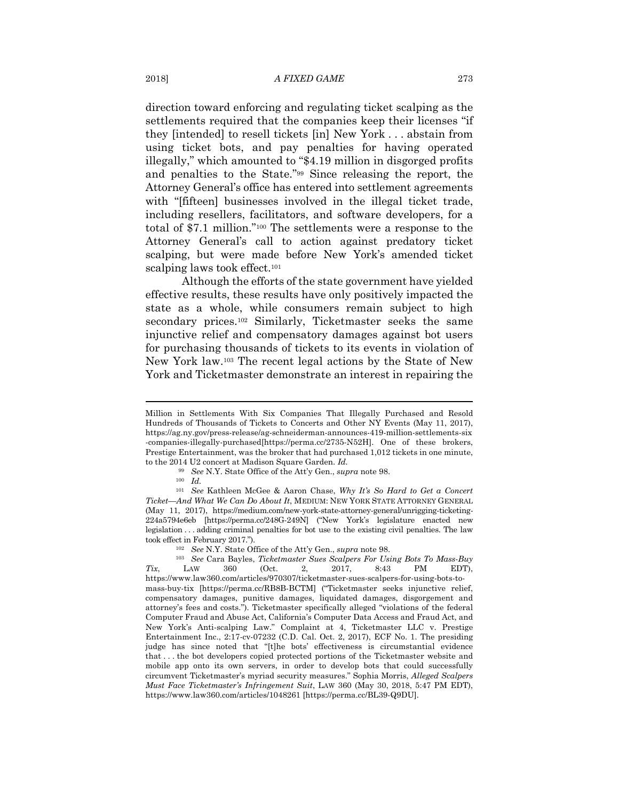direction toward enforcing and regulating ticket scalping as the settlements required that the companies keep their licenses "if they [intended] to resell tickets [in] New York . . . abstain from using ticket bots, and pay penalties for having operated illegally," which amounted to "\$4.19 million in disgorged profits and penalties to the State."99 Since releasing the report, the Attorney General's office has entered into settlement agreements with "[fifteen] businesses involved in the illegal ticket trade, including resellers, facilitators, and software developers, for a total of \$7.1 million."100 The settlements were a response to the Attorney General's call to action against predatory ticket scalping, but were made before New York's amended ticket scalping laws took effect.<sup>101</sup>

Although the efforts of the state government have yielded effective results, these results have only positively impacted the state as a whole, while consumers remain subject to high secondary prices.<sup>102</sup> Similarly, Ticketmaster seeks the same injunctive relief and compensatory damages against bot users for purchasing thousands of tickets to its events in violation of New York law.103 The recent legal actions by the State of New York and Ticketmaster demonstrate an interest in repairing the

Million in Settlements With Six Companies That Illegally Purchased and Resold Hundreds of Thousands of Tickets to Concerts and Other NY Events (May 11, 2017), https://ag.ny.gov/press-release/ag-schneiderman-announces-419-million-settlements-six -companies-illegally-purchased[https://perma.cc/2735-N52H]. One of these brokers, Prestige Entertainment, was the broker that had purchased 1,012 tickets in one minute, to the 2014 U2 concert at Madison Square Garden. *Id.*

<sup>99</sup> *See* N.Y. State Office of the Att'y Gen., *supra* note 98.

<sup>100</sup> *Id.* 

<sup>101</sup> *See* Kathleen McGee & Aaron Chase, *Why It's So Hard to Get a Concert Ticket—And What We Can Do About It*, MEDIUM: NEW YORK STATE ATTORNEY GENERAL (May 11, 2017), https://medium.com/new-york-state-attorney-general/unrigging-ticketing-224a5794e6eb [https://perma.cc/248G-249N] ("New York's legislature enacted new legislation . . . adding criminal penalties for bot use to the existing civil penalties. The law took effect in February 2017."). 102 *See* N.Y. State Office of the Att'y Gen., *supra* note 98. 103 *See* Cara Bayles, *Ticketmaster Sues Scalpers For Using Bots To Mass-Buy* 

*Tix*, LAW 360 (Oct. 2, 2017, 8:43 PM EDT), https://www.law360.com/articles/970307/ticketmaster-sues-scalpers-for-using-bots-tomass-buy-tix [https://perma.cc/RB8B-BCTM] ("Ticketmaster seeks injunctive relief, compensatory damages, punitive damages, liquidated damages, disgorgement and attorney's fees and costs."). Ticketmaster specifically alleged "violations of the federal Computer Fraud and Abuse Act, California's Computer Data Access and Fraud Act, and New York's Anti-scalping Law." Complaint at 4, Ticketmaster LLC v. Prestige Entertainment Inc., 2:17-cv-07232 (C.D. Cal. Oct. 2, 2017), ECF No. 1. The presiding judge has since noted that "[t]he bots' effectiveness is circumstantial evidence that . . . the bot developers copied protected portions of the Ticketmaster website and mobile app onto its own servers, in order to develop bots that could successfully circumvent Ticketmaster's myriad security measures." Sophia Morris, *Alleged Scalpers Must Face Ticketmaster's Infringement Suit*, LAW 360 (May 30, 2018, 5:47 PM EDT), https://www.law360.com/articles/1048261 [https://perma.cc/BL39-Q9DU].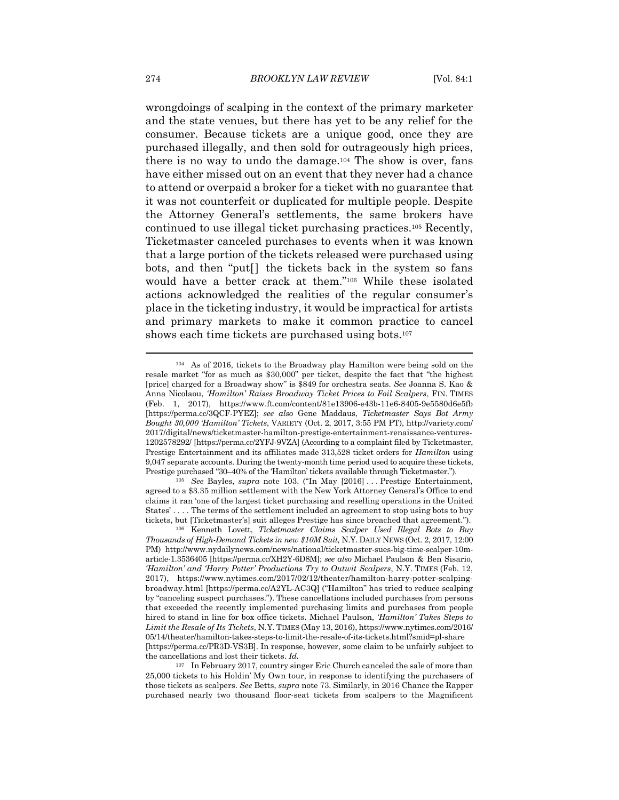wrongdoings of scalping in the context of the primary marketer and the state venues, but there has yet to be any relief for the consumer. Because tickets are a unique good, once they are purchased illegally, and then sold for outrageously high prices, there is no way to undo the damage.104 The show is over, fans have either missed out on an event that they never had a chance to attend or overpaid a broker for a ticket with no guarantee that it was not counterfeit or duplicated for multiple people. Despite the Attorney General's settlements, the same brokers have continued to use illegal ticket purchasing practices.105 Recently, Ticketmaster canceled purchases to events when it was known that a large portion of the tickets released were purchased using bots, and then "put[] the tickets back in the system so fans would have a better crack at them."106 While these isolated actions acknowledged the realities of the regular consumer's place in the ticketing industry, it would be impractical for artists and primary markets to make it common practice to cancel shows each time tickets are purchased using bots.107

<sup>104</sup> As of 2016, tickets to the Broadway play Hamilton were being sold on the resale market "for as much as \$30,000" per ticket, despite the fact that "the highest [price] charged for a Broadway show" is \$849 for orchestra seats. *See* Joanna S. Kao & Anna Nicolaou, *'Hamilton' Raises Broadway Ticket Prices to Foil Scalpers*, FIN. TIMES (Feb. 1, 2017), https://www.ft.com/content/81e13906-e43b-11e6-8405-9e5580d6e5fb [https://perma.cc/3QCF-PYEZ]; *see also* Gene Maddaus, *Ticketmaster Says Bot Army Bought 30,000 'Hamilton' Tickets*, VARIETY (Oct. 2, 2017, 3:55 PM PT), http://variety.com/ 2017/digital/news/ticketmaster-hamilton-prestige-entertainment-renaissance-ventures-1202578292/ [https://perma.cc/2YFJ-9VZA] (According to a complaint filed by Ticketmaster, Prestige Entertainment and its affiliates made 313,528 ticket orders for *Hamilton* using 9,047 separate accounts. During the twenty-month time period used to acquire these tickets, Prestige purchased "30–40% of the 'Hamilton' tickets available through Ticketmaster."). 105 *See* Bayles, *supra* note 103. ("In May [2016] . . . Prestige Entertainment,

agreed to a \$3.35 million settlement with the New York Attorney General's Office to end claims it ran 'one of the largest ticket purchasing and reselling operations in the United States' . . . . The terms of the settlement included an agreement to stop using bots to buy tickets, but [Ticketmaster's] suit alleges Prestige has since breached that agreement."). 106 Kenneth Lovett, *Ticketmaster Claims Scalper Used Illegal Bots to Buy* 

*Thousands of High-Demand Tickets in new \$10M Suit,* N.Y. DAILY NEWS (Oct. 2, 2017, 12:00 PM) http://www.nydailynews.com/news/national/ticketmaster-sues-big-time-scalper-10marticle-1.3536405 [https://perma.cc/XH2Y-6D8M]; *see also* Michael Paulson & Ben Sisario, *'Hamilton' and 'Harry Potter' Productions Try to Outwit Scalpers*, N.Y. TIMES (Feb. 12, 2017), https://www.nytimes.com/2017/02/12/theater/hamilton-harry-potter-scalpingbroadway.html [https://perma.cc/A2YL-AC3Q] ("Hamilton" has tried to reduce scalping by "canceling suspect purchases."). These cancellations included purchases from persons that exceeded the recently implemented purchasing limits and purchases from people hired to stand in line for box office tickets. Michael Paulson, *'Hamilton' Takes Steps to Limit the Resale of Its Tickets*, N.Y. TIMES (May 13, 2016), https://www.nytimes.com/2016/ 05/14/theater/hamilton-takes-steps-to-limit-the-resale-of-its-tickets.html?smid=pl-share [https://perma.cc/PR3D-VS3B]. In response, however, some claim to be unfairly subject to the cancellations and lost their tickets. *Id.*

<sup>&</sup>lt;sup>107</sup> In February 2017, country singer Eric Church canceled the sale of more than 25,000 tickets to his Holdin' My Own tour, in response to identifying the purchasers of those tickets as scalpers. *See* Betts, *supra* note 73. Similarl*y*, in 2016 Chance the Rapper purchased nearly two thousand floor-seat tickets from scalpers to the Magnificent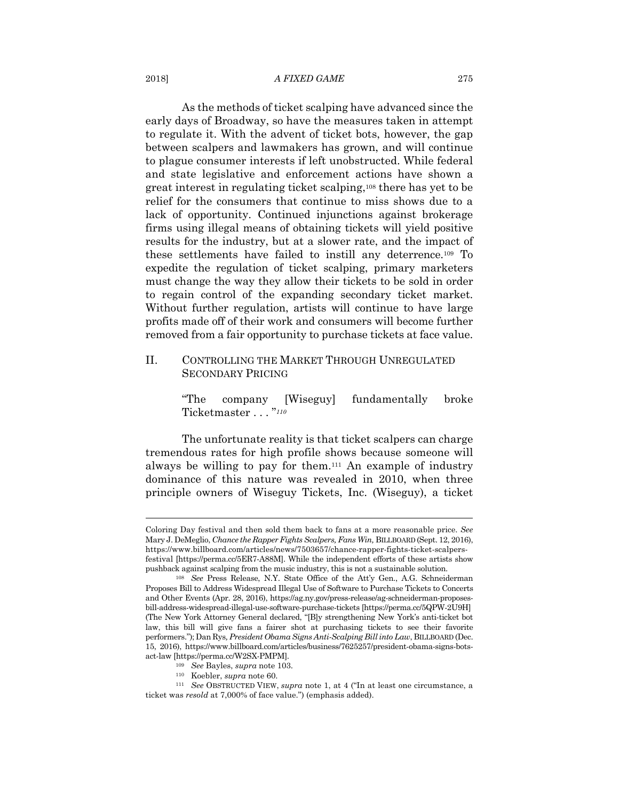#### 2018] *A FIXED GAME* 275

As the methods of ticket scalping have advanced since the early days of Broadway, so have the measures taken in attempt to regulate it. With the advent of ticket bots, however, the gap between scalpers and lawmakers has grown, and will continue to plague consumer interests if left unobstructed. While federal and state legislative and enforcement actions have shown a great interest in regulating ticket scalping,108 there has yet to be relief for the consumers that continue to miss shows due to a lack of opportunity. Continued injunctions against brokerage firms using illegal means of obtaining tickets will yield positive results for the industry, but at a slower rate, and the impact of these settlements have failed to instill any deterrence.109 To expedite the regulation of ticket scalping, primary marketers must change the way they allow their tickets to be sold in order to regain control of the expanding secondary ticket market. Without further regulation, artists will continue to have large profits made off of their work and consumers will become further removed from a fair opportunity to purchase tickets at face value.

# II. CONTROLLING THE MARKET THROUGH UNREGULATED SECONDARY PRICING

"The company [Wiseguy] fundamentally broke Ticketmaster . . . "*<sup>110</sup>*

The unfortunate reality is that ticket scalpers can charge tremendous rates for high profile shows because someone will always be willing to pay for them.111 An example of industry dominance of this nature was revealed in 2010, when three principle owners of Wiseguy Tickets, Inc. (Wiseguy), a ticket

Coloring Day festival and then sold them back to fans at a more reasonable price. *See*  Mary J. DeMeglio, *Chance the Rapper Fights Scalpers, Fans Win,* BILLBOARD (Sept. 12, 2016), https://www.billboard.com/articles/news/7503657/chance-rapper-fights-ticket-scalpersfestival [https://perma.cc/5ER7-A88M]. While the independent efforts of these artists show pushback against scalping from the music industry, this is not a sustainable solution. 108 *See* Press Release, N.Y. State Office of the Att'y Gen., A.G. Schneiderman

Proposes Bill to Address Widespread Illegal Use of Software to Purchase Tickets to Concerts and Other Events (Apr. 28, 2016), https://ag.ny.gov/press-release/ag-schneiderman-proposesbill-address-widespread-illegal-use-software-purchase-tickets [https://perma.cc/5QPW-2U9H] (The New York Attorney General declared, "[B]y strengthening New York's anti-ticket bot law, this bill will give fans a fairer shot at purchasing tickets to see their favorite performers."); Dan Rys*, President Obama Signs Anti-Scalping Bill into Law*, BILLBOARD (Dec. 15, 2016), https://www.billboard.com/articles/business/7625257/president-obama-signs-botsact-law [https://perma.cc/W2SX-PMPM].<br>
<sup>109</sup> See Bayles, *supra* note 103.<br>
<sup>110</sup> Koebler, *supra* note 60.<br>
<sup>111</sup> See OBSTRUCTED VIEW, *supra* note 1, at 4 ("In at least one circumstance, a

ticket was *resold* at 7,000% of face value.") (emphasis added).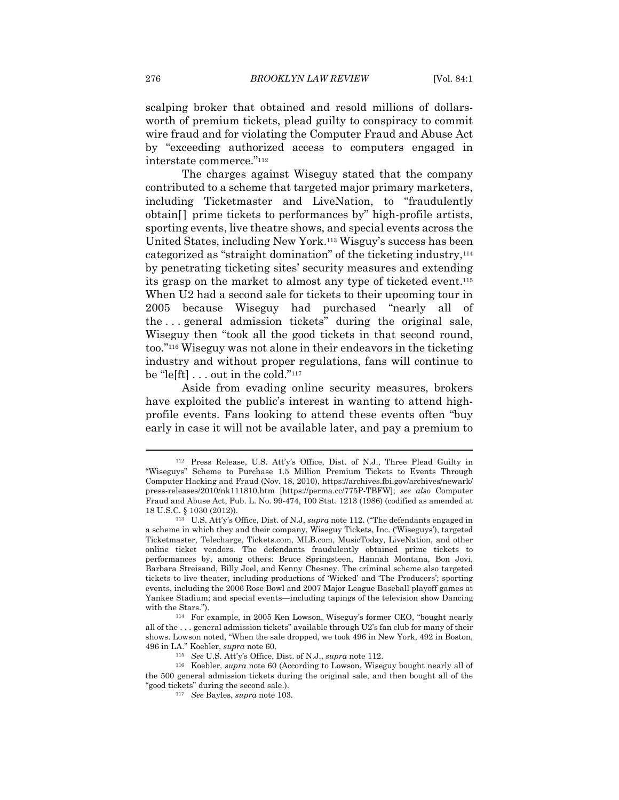scalping broker that obtained and resold millions of dollarsworth of premium tickets, plead guilty to conspiracy to commit wire fraud and for violating the Computer Fraud and Abuse Act by "exceeding authorized access to computers engaged in interstate commerce."112

The charges against Wiseguy stated that the company contributed to a scheme that targeted major primary marketers, including Ticketmaster and LiveNation, to "fraudulently obtain[] prime tickets to performances by" high-profile artists, sporting events, live theatre shows, and special events across the United States, including New York.113 Wisguy's success has been categorized as "straight domination" of the ticketing industry,114 by penetrating ticketing sites' security measures and extending its grasp on the market to almost any type of ticketed event.115 When U2 had a second sale for tickets to their upcoming tour in 2005 because Wiseguy had purchased "nearly all of the . . . general admission tickets" during the original sale, Wiseguy then "took all the good tickets in that second round, too."116 Wiseguy was not alone in their endeavors in the ticketing industry and without proper regulations, fans will continue to be "le[ft] . . . out in the cold."117

Aside from evading online security measures, brokers have exploited the public's interest in wanting to attend highprofile events. Fans looking to attend these events often "buy early in case it will not be available later, and pay a premium to

<sup>112</sup> Press Release, U.S. Att'y's Office, Dist. of N.J., Three Plead Guilty in "Wiseguys" Scheme to Purchase 1.5 Million Premium Tickets to Events Through Computer Hacking and Fraud (Nov. 18, 2010), https://archives.fbi.gov/archives/newark/ press-releases/2010/nk111810.htm [https://perma.cc/775P-TBFW]; *see also* Computer Fraud and Abuse Act, Pub. L. No. 99-474, 100 Stat. 1213 (1986) (codified as amended at 18 U.S.C. § 1030 (2012)). 113 U.S. Att'y's Office, Dist. of N.J, *supra* note 112. ("The defendants engaged in

a scheme in which they and their company, Wiseguy Tickets, Inc. ('Wiseguys'), targeted Ticketmaster, Telecharge, Tickets.com, MLB.com, MusicToday, LiveNation, and other online ticket vendors. The defendants fraudulently obtained prime tickets to performances by, among others: Bruce Springsteen, Hannah Montana, Bon Jovi, Barbara Streisand, Billy Joel, and Kenny Chesney. The criminal scheme also targeted tickets to live theater, including productions of 'Wicked' and 'The Producers'; sporting events, including the 2006 Rose Bowl and 2007 Major League Baseball playoff games at Yankee Stadium; and special events—including tapings of the television show Dancing

with the Stars."). 114 For example, in 2005 Ken Lowson, Wiseguy's former CEO, "bought nearly all of the . . . general admission tickets" available through U2's fan club for many of their shows. Lowson noted, "When the sale dropped, we took 496 in New York, 492 in Boston,

<sup>496</sup> in LA." Koebler, *supra* note 60. 115 *See* U.S. Att'y's Office, Dist. of N.J., *supra* note 112. 116 Koebler, *supra* note 60 (According to Lowson, Wiseguy bought nearly all of the 500 general admission tickets during the original sale, and then bought all of the "good tickets" during the second sale.). 117 *See* Bayles, *supra* note 103.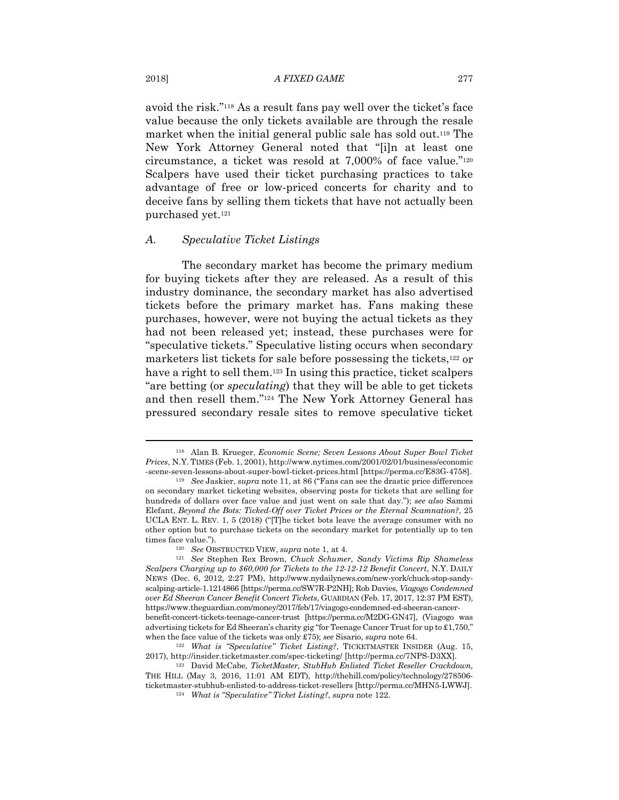avoid the risk."118 As a result fans pay well over the ticket's face value because the only tickets available are through the resale market when the initial general public sale has sold out.119 The New York Attorney General noted that "[i]n at least one circumstance, a ticket was resold at 7,000% of face value."120 Scalpers have used their ticket purchasing practices to take advantage of free or low-priced concerts for charity and to deceive fans by selling them tickets that have not actually been purchased yet.121

#### *A. Speculative Ticket Listings*

The secondary market has become the primary medium for buying tickets after they are released. As a result of this industry dominance, the secondary market has also advertised tickets before the primary market has. Fans making these purchases, however, were not buying the actual tickets as they had not been released yet; instead, these purchases were for "speculative tickets." Speculative listing occurs when secondary marketers list tickets for sale before possessing the tickets,122 or have a right to sell them.123 In using this practice, ticket scalpers "are betting (or *speculating*) that they will be able to get tickets and then resell them."124 The New York Attorney General has pressured secondary resale sites to remove speculative ticket

<sup>118</sup> Alan B. Krueger, *Economic Scene; Seven Lessons About Super Bowl Ticket Prices*, N.Y. TIMES (Feb. 1, 2001), http://www.nytimes.com/2001/02/01/business/economic -scene-seven-lessons-about-super-bowl-ticket-prices.html [https://perma.cc/E83G-4758]. 119 *See* Jaskier, *supra* note 11, at 86 ("Fans can see the drastic price differences

on secondary market ticketing websites, observing posts for tickets that are selling for hundreds of dollars over face value and just went on sale that day."); *see also* Sammi Elefant, *Beyond the Bots: Ticked-Off over Ticket Prices or the Eternal Scamnation?*, 25 UCLA ENT. L. REV. 1, 5 (2018) ("[T]he ticket bots leave the average consumer with no other option but to purchase tickets on the secondary market for potentially up to ten times face value."). 120 *See* OBSTRUCTED VIEW, *supra* note 1, at 4. 121 *See* Stephen Rex Brown, *Chuck Schumer, Sandy Victims Rip Shameless* 

*Scalpers Charging up to \$60,000 for Tickets to the 12-12-12 Benefit Concert*, N.Y. DAILY NEWS (Dec. 6, 2012, 2:27 PM), http://www.nydailynews.com/new-york/chuck-stop-sandyscalping-article-1.1214866 [https://perma.cc/SW7R-P2NH]; Rob Davies, *Viagogo Condemned over Ed Sheeran Cancer Benefit Concert Tickets*, GUARDIAN (Feb. 17, 2017, 12:37 PM EST), https://www.theguardian.com/money/2017/feb/17/viagogo-condemned-ed-sheeran-cancerbenefit-concert-tickets-teenage-cancer-trust [https://perma.cc/M2DG-GN47], (Viagogo was advertising tickets for Ed Sheeran's charity gig "for Teenage Cancer Trust for up to £1,750," when the face value of the tickets was only £75); *see* Sisario, *supra* note 64.<br><sup>122</sup> What is "Speculative" Ticket Listing?, TICKETMASTER INSIDER (Aug. 15,

<sup>2017),</sup> http://insider.ticketmaster.com/spec-ticketing/ [http://perma.cc/7NPS-D3XX]. 123 David McCabe, *TicketMaster, StubHub Enlisted Ticket Reseller Crackdown,* 

THE HILL (May 3, 2016, 11:01 AM EDT), http://thehill.com/policy/technology/278506 ticketmaster-stubhub-enlisted-to-address-ticket-resellers [http://perma.cc/MHN5-LWWJ]. 124 *What is "Speculative" Ticket Listing?*, *supra* note 122.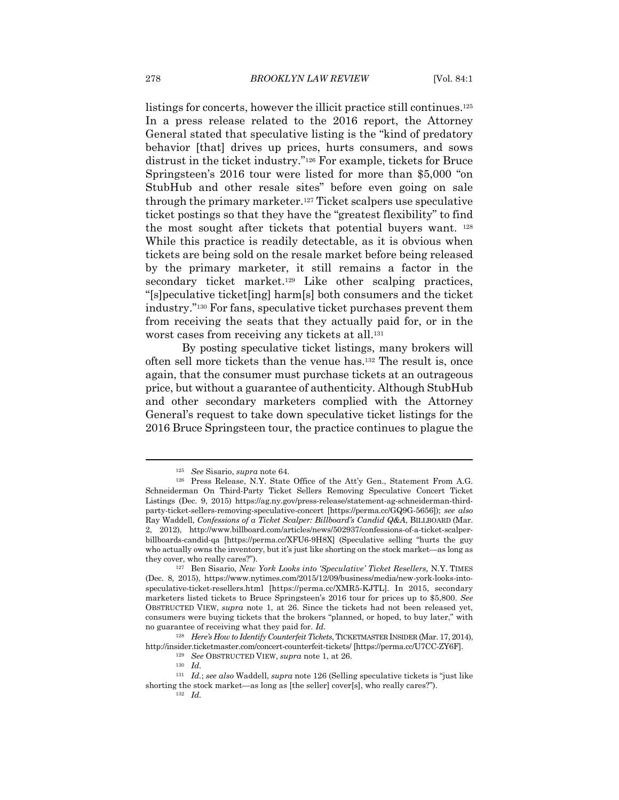listings for concerts, however the illicit practice still continues.125 In a press release related to the 2016 report, the Attorney General stated that speculative listing is the "kind of predatory behavior [that] drives up prices, hurts consumers, and sows distrust in the ticket industry."126 For example, tickets for Bruce Springsteen's 2016 tour were listed for more than \$5,000 "on StubHub and other resale sites" before even going on sale through the primary marketer.127 Ticket scalpers use speculative ticket postings so that they have the "greatest flexibility" to find the most sought after tickets that potential buyers want. 128 While this practice is readily detectable, as it is obvious when tickets are being sold on the resale market before being released by the primary marketer, it still remains a factor in the secondary ticket market.<sup>129</sup> Like other scalping practices, "[s]peculative ticket[ing] harm[s] both consumers and the ticket industry."130 For fans, speculative ticket purchases prevent them from receiving the seats that they actually paid for, or in the worst cases from receiving any tickets at all.<sup>131</sup>

By posting speculative ticket listings, many brokers will often sell more tickets than the venue has.132 The result is, once again, that the consumer must purchase tickets at an outrageous price, but without a guarantee of authenticity. Although StubHub and other secondary marketers complied with the Attorney General's request to take down speculative ticket listings for the 2016 Bruce Springsteen tour, the practice continues to plague the

<sup>125</sup> *See* Sisario, *supra* note 64. 126 Press Release, N.Y. State Office of the Att'y Gen., Statement From A.G. Schneiderman On Third-Party Ticket Sellers Removing Speculative Concert Ticket Listings (Dec. 9, 2015) https://ag.ny.gov/press-release/statement-ag-schneiderman-thirdparty-ticket-sellers-removing-speculative-concert [https://perma.cc/GQ9G-5656]); *see also* Ray Waddell, *Confessions of a Ticket Scalper: Billboard's Candid Q&A*, BILLBOARD (Mar. 2, 2012), http://www.billboard.com/articles/news/502937/confessions-of-a-ticket-scalperbillboards-candid-qa [https://perma.cc/XFU6-9H8X] (Speculative selling "hurts the guy who actually owns the inventory, but it's just like shorting on the stock market—as long as they cover, who really cares?"). 127 Ben Sisario, *New York Looks into 'Speculative' Ticket Resellers,* N.Y. TIMES

<sup>(</sup>Dec. 8, 2015), https://www.nytimes.com/2015/12/09/business/media/new-york-looks-intospeculative-ticket-resellers.html [https://perma.cc/XMR5-KJTL]. In 2015, secondary marketers listed tickets to Bruce Springsteen's 2016 tour for prices up to \$5,800. *See*  OBSTRUCTED VIEW, *supra* note 1, at 26. Since the tickets had not been released yet, consumers were buying tickets that the brokers "planned, or hoped, to buy later," with no guarantee of receiving what they paid for. *Id.*

<sup>128</sup> *Here's How to Identify Counterfeit Tickets*, TICKETMASTER INSIDER (Mar. 17, 2014), http://insider.ticketmaster.com/concert-counterfeit-tickets/ [https://perma.cc/U7CC-ZY6F]. 129 *See* OBSTRUCTED VIEW, *supra* note 1, at 26. 130 *Id.*

<sup>131</sup> *Id.*; *see also* Waddell, *supra* note 126 (Selling speculative tickets is "just like shorting the stock market—as long as [the seller] cover[s], who really cares?"). 132 *Id.*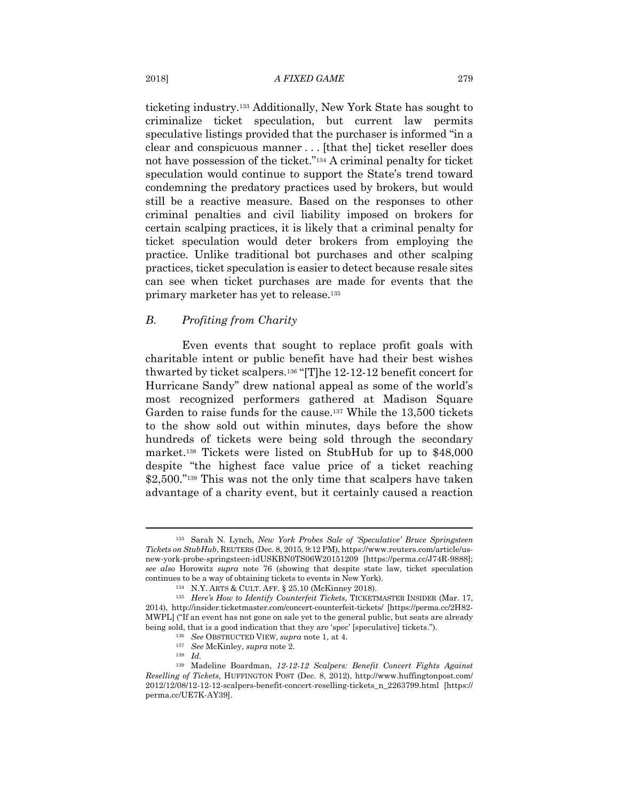ticketing industry.133 Additionally, New York State has sought to criminalize ticket speculation, but current law permits speculative listings provided that the purchaser is informed "in a clear and conspicuous manner . . . [that the] ticket reseller does not have possession of the ticket."134 A criminal penalty for ticket speculation would continue to support the State's trend toward condemning the predatory practices used by brokers, but would still be a reactive measure. Based on the responses to other criminal penalties and civil liability imposed on brokers for certain scalping practices, it is likely that a criminal penalty for ticket speculation would deter brokers from employing the practice. Unlike traditional bot purchases and other scalping practices, ticket speculation is easier to detect because resale sites can see when ticket purchases are made for events that the primary marketer has yet to release.135

# *B. Profiting from Charity*

Even events that sought to replace profit goals with charitable intent or public benefit have had their best wishes thwarted by ticket scalpers.136 "[T]he 12-12-12 benefit concert for Hurricane Sandy" drew national appeal as some of the world's most recognized performers gathered at Madison Square Garden to raise funds for the cause.137 While the 13,500 tickets to the show sold out within minutes, days before the show hundreds of tickets were being sold through the secondary market.138 Tickets were listed on StubHub for up to \$48,000 despite "the highest face value price of a ticket reaching \$2,500."<sup>139</sup> This was not the only time that scalpers have taken advantage of a charity event, but it certainly caused a reaction

<sup>133</sup> Sarah N. Lynch, *New York Probes Sale of 'Speculative' Bruce Springsteen Tickets on StubHub*, REUTERS (Dec. 8, 2015, 9:12 PM), https://www.reuters.com/article/usnew-york-probe-springsteen-idUSKBN0TS06W20151209 [https://perma.cc/J74R-9888]; *see also* Horowitz *supra* note 76 (showing that despite state law, ticket speculation continues to be a way of obtaining tickets to events in New York).<br><sup>134</sup> N.Y. ARTS & CULT. AFF. § 25.10 (McKinney 2018).<br><sup>135</sup> *Here's How to Identify Counterfeit Tickets*, TICKETMASTER INSIDER (Mar. 17,

<sup>2014),</sup> http://insider.ticketmaster.com/concert-counterfeit-tickets/ [https://perma.cc/2H82- MWPL] ("If an event has not gone on sale yet to the general public, but seats are already being sold, that is a good indication that they are 'spec' [speculative] tickets."). 136 *See* OBSTRUCTED VIEW, *supra* note 1, at 4. 137 *See* McKinley, *supra* note 2. 138 *Id.* 

<sup>139</sup> Madeline Boardman, *12-12-12 Scalpers: Benefit Concert Fights Against Reselling of Tickets*, HUFFINGTON POST (Dec. 8, 2012), http://www.huffingtonpost.com/ 2012/12/08/12-12-12-scalpers-benefit-concert-reselling-tickets\_n\_2263799.html [https:// perma.cc/UE7K-AY39].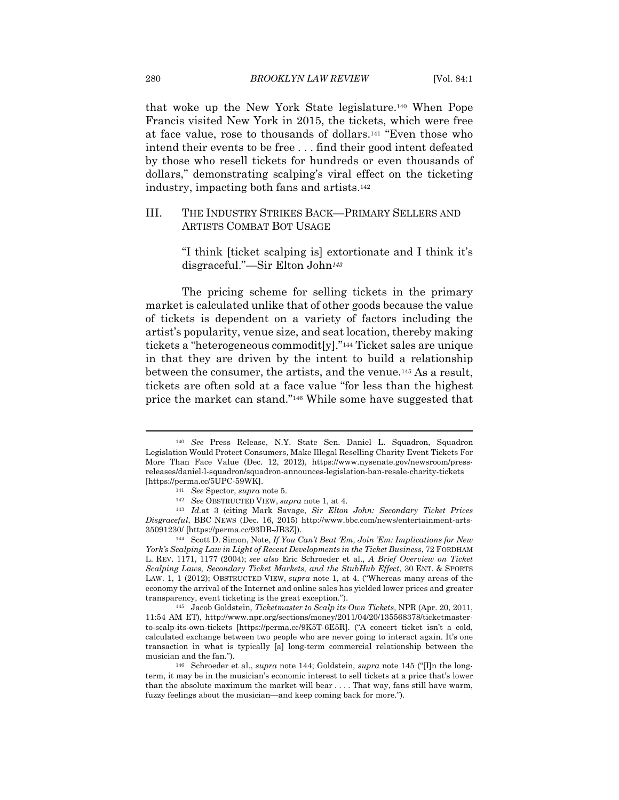that woke up the New York State legislature.140 When Pope Francis visited New York in 2015, the tickets, which were free at face value, rose to thousands of dollars.141 "Even those who intend their events to be free . . . find their good intent defeated by those who resell tickets for hundreds or even thousands of dollars," demonstrating scalping's viral effect on the ticketing industry, impacting both fans and artists.142

# III. THE INDUSTRY STRIKES BACK—PRIMARY SELLERS AND ARTISTS COMBAT BOT USAGE

"I think [ticket scalping is] extortionate and I think it's disgraceful."—Sir Elton John*<sup>143</sup>*

The pricing scheme for selling tickets in the primary market is calculated unlike that of other goods because the value of tickets is dependent on a variety of factors including the artist's popularity, venue size, and seat location, thereby making tickets a "heterogeneous commodit[y]."144 Ticket sales are unique in that they are driven by the intent to build a relationship between the consumer, the artists, and the venue.145 As a result, tickets are often sold at a face value "for less than the highest price the market can stand."146 While some have suggested that

<sup>140</sup> *See* Press Release, N.Y. State Sen. Daniel L. Squadron, Squadron Legislation Would Protect Consumers, Make Illegal Reselling Charity Event Tickets For More Than Face Value (Dec. 12, 2012), https://www.nysenate.gov/newsroom/pressreleases/daniel-l-squadron/squadron-announces-legislation-ban-resale-charity-tickets [https://perma.cc/5UPC-59WK]. 141 *See* Spector, *supra* note 5.

<sup>142</sup> *See* OBSTRUCTED VIEW, *supra* note 1, at 4. 143 *Id.*at 3 (citing Mark Savage, *Sir Elton John: Secondary Ticket Prices Disgraceful*, BBC NEWS (Dec. 16, 2015) http://www.bbc.com/news/entertainment-arts-

<sup>35091230/ [</sup>https://perma.cc/93DB-JB3Z]). 144 Scott D. Simon, Note, *If You Can't Beat 'Em, Join 'Em: Implications for New York's Scalping Law in Light of Recent Developments in the Ticket Business*, 72 FORDHAM L. REV. 1171, 1177 (2004); *see also* Eric Schroeder et al., *A Brief Overview on Ticket Scalping Laws, Secondary Ticket Markets, and the StubHub Effect*, 30 ENT. & SPORTS LAW. 1, 1 (2012); OBSTRUCTED VIEW, *supra* note 1, at 4. ("Whereas many areas of the economy the arrival of the Internet and online sales has yielded lower prices and greater transparency, event ticketing is the great exception."). 145 Jacob Goldstein, *Ticketmaster to Scalp its Own Tickets*, NPR (Apr. 20, 2011,

<sup>11:54</sup> AM ET), http://www.npr.org/sections/money/2011/04/20/135568378/ticketmasterto-scalp-its-own-tickets [https://perma.cc/9K5T-6E5R]. ("A concert ticket isn't a cold, calculated exchange between two people who are never going to interact again. It's one transaction in what is typically [a] long-term commercial relationship between the musician and the fan."). 146 Schroeder et al., *supra* note 144; Goldstein, *supra* note 145 ("[I]n the long-

term, it may be in the musician's economic interest to sell tickets at a price that's lower than the absolute maximum the market will bear . . . . That way, fans still have warm, fuzzy feelings about the musician—and keep coming back for more.").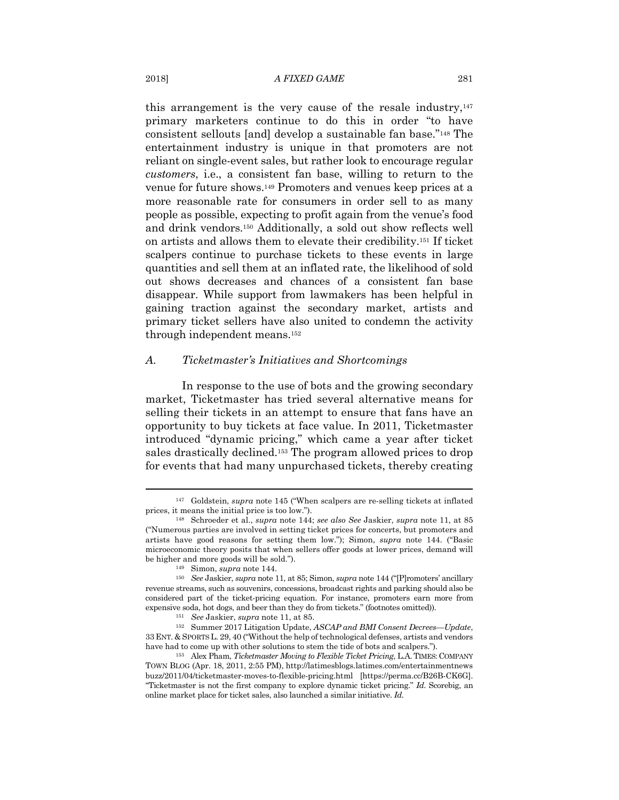this arrangement is the very cause of the resale industry, $147$ primary marketers continue to do this in order "to have consistent sellouts [and] develop a sustainable fan base."148 The entertainment industry is unique in that promoters are not reliant on single-event sales, but rather look to encourage regular *customers*, i.e., a consistent fan base, willing to return to the venue for future shows.149 Promoters and venues keep prices at a more reasonable rate for consumers in order sell to as many people as possible, expecting to profit again from the venue's food and drink vendors.150 Additionally, a sold out show reflects well on artists and allows them to elevate their credibility.151 If ticket scalpers continue to purchase tickets to these events in large quantities and sell them at an inflated rate, the likelihood of sold out shows decreases and chances of a consistent fan base disappear. While support from lawmakers has been helpful in gaining traction against the secondary market, artists and primary ticket sellers have also united to condemn the activity through independent means.152

#### *A. Ticketmaster's Initiatives and Shortcomings*

In response to the use of bots and the growing secondary market, Ticketmaster has tried several alternative means for selling their tickets in an attempt to ensure that fans have an opportunity to buy tickets at face value. In 2011, Ticketmaster introduced "dynamic pricing," which came a year after ticket sales drastically declined.153 The program allowed prices to drop for events that had many unpurchased tickets, thereby creating

<sup>147</sup> Goldstein, *supra* note 145 ("When scalpers are re-selling tickets at inflated prices, it means the initial price is too low."). 148 Schroeder et al., *supra* note 144; *see also See* Jaskier, *supra* note 11, at 85

<sup>(&</sup>quot;Numerous parties are involved in setting ticket prices for concerts, but promoters and artists have good reasons for setting them low."); Simon, *supra* note 144. ("Basic microeconomic theory posits that when sellers offer goods at lower prices, demand will be higher and more goods will be sold."). 149 Simon, *supra* note 144. 150 *See* Jaskier, *supra* note 11, at 85; Simon, *supra* note 144 ("[P]romoters' ancillary

revenue streams, such as souvenirs, concessions, broadcast rights and parking should also be considered part of the ticket-pricing equation. For instance, promoters earn more from expensive soda, hot dogs, and beer than they do from tickets." (footnotes omitted)). 151 *See* Jaskier, *supra* note 11, at 85. 152 Summer 2017 Litigation Update, *ASCAP and BMI Consent Decrees—Update*,

<sup>33</sup> ENT. & SPORTS L. 29, 40 ("Without the help of technological defenses, artists and vendors

have had to come up with other solutions to stem the tide of bots and scalpers."). 153 Alex Pham, *Ticketmaster Moving to Flexible Ticket Pricing*, L.A.TIMES: COMPANY TOWN BLOG (Apr. 18, 2011, 2:55 PM), http://latimesblogs.latimes.com/entertainmentnews buzz/2011/04/ticketmaster-moves-to-flexible-pricing.html [https://perma.cc/B26B-CK6G]. "Ticketmaster is not the first company to explore dynamic ticket pricing." *Id.* Scorebig, an online market place for ticket sales, also launched a similar initiative. *Id.*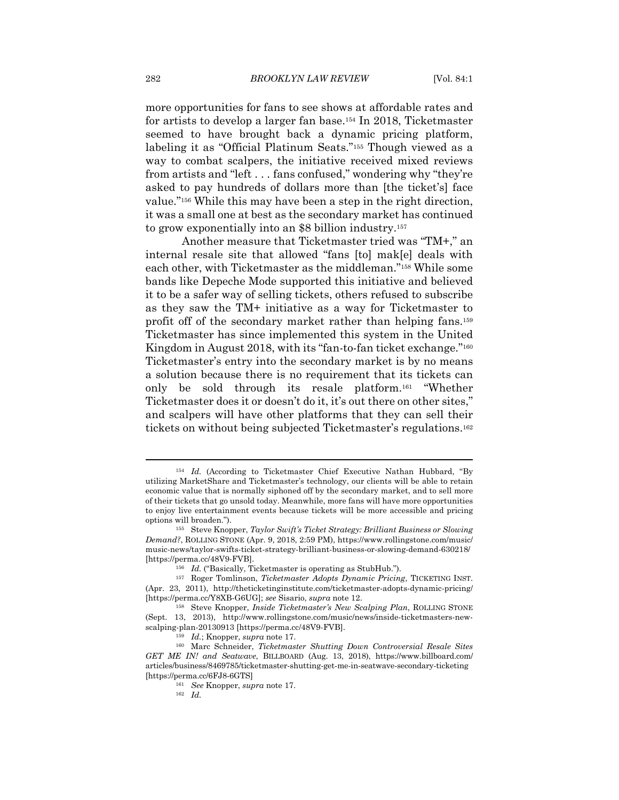more opportunities for fans to see shows at affordable rates and for artists to develop a larger fan base.154 In 2018, Ticketmaster seemed to have brought back a dynamic pricing platform, labeling it as "Official Platinum Seats."155 Though viewed as a way to combat scalpers, the initiative received mixed reviews from artists and "left . . . fans confused," wondering why "they're asked to pay hundreds of dollars more than [the ticket's] face value."156 While this may have been a step in the right direction, it was a small one at best as the secondary market has continued to grow exponentially into an \$8 billion industry.157

Another measure that Ticketmaster tried was "TM+," an internal resale site that allowed "fans [to] mak[e] deals with each other, with Ticketmaster as the middleman."158 While some bands like Depeche Mode supported this initiative and believed it to be a safer way of selling tickets, others refused to subscribe as they saw the TM+ initiative as a way for Ticketmaster to profit off of the secondary market rather than helping fans.159 Ticketmaster has since implemented this system in the United Kingdom in August 2018, with its "fan-to-fan ticket exchange."<sup>160</sup> Ticketmaster's entry into the secondary market is by no means a solution because there is no requirement that its tickets can only be sold through its resale platform.161 "Whether Ticketmaster does it or doesn't do it, it's out there on other sites," and scalpers will have other platforms that they can sell their tickets on without being subjected Ticketmaster's regulations.162

<sup>&</sup>lt;sup>154</sup> Id. (According to Ticketmaster Chief Executive Nathan Hubbard, "By utilizing MarketShare and Ticketmaster's technology, our clients will be able to retain economic value that is normally siphoned off by the secondary market, and to sell more of their tickets that go unsold today. Meanwhile, more fans will have more opportunities to enjoy live entertainment events because tickets will be more accessible and pricing

options will broaden."). 155 Steve Knopper, *Taylor Swift's Ticket Strategy: Brilliant Business or Slowing Demand?*, ROLLING STONE (Apr. 9, 2018, 2:59 PM), https://www.rollingstone.com/music/ music-news/taylor-swifts-ticket-strategy-brilliant-business-or-slowing-demand-630218/ [https://perma.cc/48V9-FVB]. 156 *Id.* ("Basically, Ticketmaster is operating as StubHub."). 157 Roger Tomlinson, *Ticketmaster Adopts Dynamic Pricing*, TICKETING INST.

<sup>(</sup>Apr. 23, 2011), http://theticketinginstitute.com/ticketmaster-adopts-dynamic-pricing/ [https://perma.cc/Y8XB-G6UG]; *see* Sisario, *supra* note 12. 158 Steve Knopper, *Inside Ticketmaster's New Scalping Plan*, ROLLING STONE

<sup>(</sup>Sept. 13, 2013), http://www.rollingstone.com/music/news/inside-ticketmasters-newscalping-plan-20130913 [https://perma.cc/48V9-FVB]. 159 *Id.*; Knopper, *supra* note 17. 160 Marc Schneider, *Ticketmaster Shutting Down Controversial Resale Sites* 

*GET ME IN! and Seatwave*, BILLBOARD (Aug. 13, 2018), https://www.billboard.com/ articles/business/8469785/ticketmaster-shutting-get-me-in-seatwave-secondary-ticketing [https://perma.cc/6FJ8-6GTS] 161 *See* Knopper, *supra* note 17. 162 *Id.*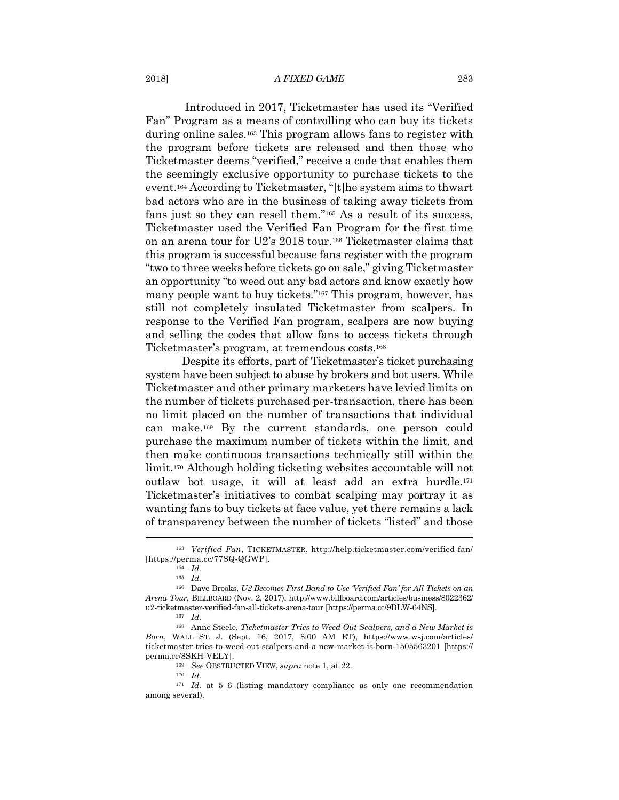#### 2018] *A FIXED GAME* 283

 Introduced in 2017, Ticketmaster has used its "Verified Fan" Program as a means of controlling who can buy its tickets during online sales.163 This program allows fans to register with the program before tickets are released and then those who Ticketmaster deems "verified," receive a code that enables them the seemingly exclusive opportunity to purchase tickets to the event.164 According to Ticketmaster, "[t]he system aims to thwart bad actors who are in the business of taking away tickets from fans just so they can resell them."165 As a result of its success, Ticketmaster used the Verified Fan Program for the first time on an arena tour for U2's 2018 tour.166 Ticketmaster claims that this program is successful because fans register with the program "two to three weeks before tickets go on sale," giving Ticketmaster an opportunity "to weed out any bad actors and know exactly how many people want to buy tickets."167 This program, however, has still not completely insulated Ticketmaster from scalpers. In response to the Verified Fan program, scalpers are now buying and selling the codes that allow fans to access tickets through Ticketmaster's program, at tremendous costs.168

Despite its efforts, part of Ticketmaster's ticket purchasing system have been subject to abuse by brokers and bot users. While Ticketmaster and other primary marketers have levied limits on the number of tickets purchased per-transaction, there has been no limit placed on the number of transactions that individual can make.169 By the current standards, one person could purchase the maximum number of tickets within the limit, and then make continuous transactions technically still within the limit.170 Although holding ticketing websites accountable will not outlaw bot usage, it will at least add an extra hurdle.171 Ticketmaster's initiatives to combat scalping may portray it as wanting fans to buy tickets at face value, yet there remains a lack of transparency between the number of tickets "listed" and those

<sup>163</sup> *Verified Fan*, TICKETMASTER, http://help.ticketmaster.com/verified-fan/ [https://perma.cc/77SQ-QGWP]. 164 *Id.*

<sup>165</sup> *Id.* 

<sup>166</sup> Dave Brooks, *U2 Becomes First Band to Use 'Verified Fan' for All Tickets on an Arena Tour*, BILLBOARD (Nov. 2, 2017), http://www.billboard.com/articles/business/8022362/ u2-ticketmaster-verified-fan-all-tickets-arena-tour [https://perma.cc/9DLW-64NS]. 167 *Id.*

<sup>168</sup> Anne Steele, *Ticketmaster Tries to Weed Out Scalpers, and a New Market is Born*, WALL ST. J. (Sept. 16, 2017, 8:00 AM ET), https://www.wsj.com/articles/ ticketmaster-tries-to-weed-out-scalpers-and-a-new-market-is-born-1505563201 [https:// perma.cc/8SKH-VELY]. 169 *See* OBSTRUCTED VIEW, *supra* note 1, at 22. 170 *Id.*

<sup>171</sup> *Id.* at 5–6 (listing mandatory compliance as only one recommendation among several).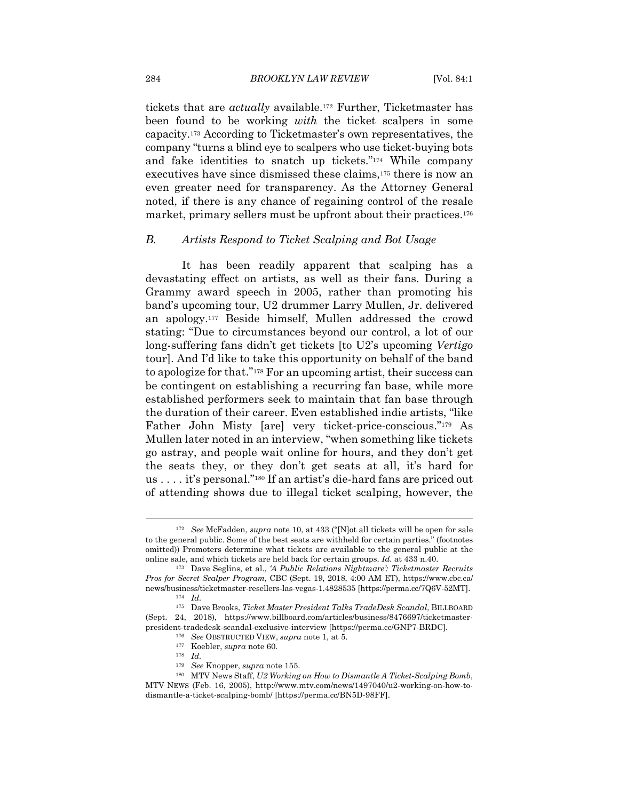tickets that are *actually* available.172 Further, Ticketmaster has been found to be working *with* the ticket scalpers in some capacity.173 According to Ticketmaster's own representatives, the company "turns a blind eye to scalpers who use ticket-buying bots and fake identities to snatch up tickets."174 While company executives have since dismissed these claims,175 there is now an even greater need for transparency. As the Attorney General noted, if there is any chance of regaining control of the resale market, primary sellers must be upfront about their practices.<sup>176</sup>

#### *B. Artists Respond to Ticket Scalping and Bot Usage*

It has been readily apparent that scalping has a devastating effect on artists, as well as their fans. During a Grammy award speech in 2005, rather than promoting his band's upcoming tour, U2 drummer Larry Mullen, Jr. delivered an apology.177 Beside himself, Mullen addressed the crowd stating: "Due to circumstances beyond our control, a lot of our long-suffering fans didn't get tickets [to U2's upcoming *Vertigo* tour]. And I'd like to take this opportunity on behalf of the band to apologize for that."178 For an upcoming artist, their success can be contingent on establishing a recurring fan base, while more established performers seek to maintain that fan base through the duration of their career. Even established indie artists, "like Father John Misty [are] very ticket-price-conscious."179 As Mullen later noted in an interview, "when something like tickets go astray, and people wait online for hours, and they don't get the seats they, or they don't get seats at all, it's hard for us . . . . it's personal."180 If an artist's die-hard fans are priced out of attending shows due to illegal ticket scalping, however, the

<sup>172</sup> *See* McFadden, *supra* note 10, at 433 ("[N]ot all tickets will be open for sale to the general public. Some of the best seats are withheld for certain parties." (footnotes omitted)) Promoters determine what tickets are available to the general public at the online sale, and which tickets are held back for certain groups. *Id.* at 433 n.40. 173 Dave Seglins, et al., *'A Public Relations Nightmare': Ticketmaster Recruits* 

*Pros for Secret Scalper Program*, CBC (Sept. 19, 2018, 4:00 AM ET), https://www.cbc.ca/ news/business/ticketmaster-resellers-las-vegas-1.4828535 [https://perma.cc/7Q6V-52MT]. 174 *Id.*

<sup>175</sup> Dave Brooks, *Ticket Master President Talks TradeDesk Scandal*, BILLBOARD (Sept. 24, 2018), https://www.billboard.com/articles/business/8476697/ticketmasterpresident-tradedesk-scandal-exclusive-interview [https://perma.cc/GNP7-BRDC].<br>
<sup>176</sup> *See* OBSTRUCTED VIEW, *supra* note 1, at 5.<br>
<sup>177</sup> Koebler, *supra* note 60.<br>
<sup>178</sup> *Id.*<br>
<sup>179</sup> *See* Knopper, *supra* note 155.

<sup>&</sup>lt;sup>180</sup> MTV News Staff, *U2 Working on How to Dismantle A Ticket-Scalping Bomb*, MTV NEWS (Feb. 16, 2005), http://www.mtv.com/news/1497040/u2-working-on-how-todismantle-a-ticket-scalping-bomb/ [https://perma.cc/BN5D-98FF].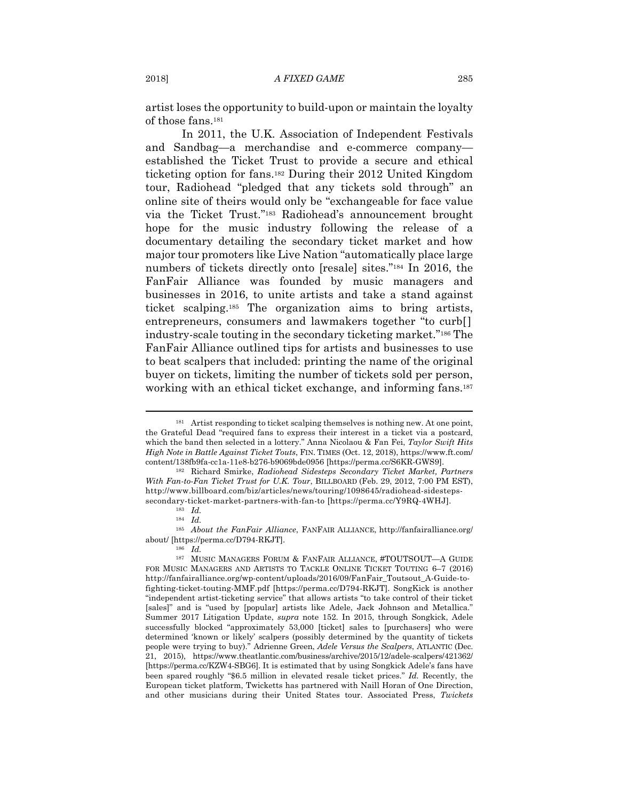artist loses the opportunity to build-upon or maintain the loyalty of those fans.181

In 2011, the U.K. Association of Independent Festivals and Sandbag—a merchandise and e-commerce company established the Ticket Trust to provide a secure and ethical ticketing option for fans.182 During their 2012 United Kingdom tour, Radiohead "pledged that any tickets sold through" an online site of theirs would only be "exchangeable for face value via the Ticket Trust."183 Radiohead's announcement brought hope for the music industry following the release of a documentary detailing the secondary ticket market and how major tour promoters like Live Nation "automatically place large numbers of tickets directly onto [resale] sites."184 In 2016, the FanFair Alliance was founded by music managers and businesses in 2016, to unite artists and take a stand against ticket scalping.185 The organization aims to bring artists, entrepreneurs, consumers and lawmakers together "to curb[] industry-scale touting in the secondary ticketing market."186 The FanFair Alliance outlined tips for artists and businesses to use to beat scalpers that included: printing the name of the original buyer on tickets, limiting the number of tickets sold per person, working with an ethical ticket exchange, and informing fans.187

<sup>181</sup> Artist responding to ticket scalping themselves is nothing new. At one point, the Grateful Dead "required fans to express their interest in a ticket via a postcard, which the band then selected in a lottery." Anna Nicolaou & Fan Fei, *Taylor Swift Hits High Note in Battle Against Ticket Touts*, FIN. TIMES (Oct. 12, 2018), https://www.ft.com/ content/138fb9fa-cc1a-11e8-b276-b9069bde0956 [https://perma.cc/S6KR-GWS9]. 182 Richard Smirke, *Radiohead Sidesteps Secondary Ticket Market, Partners* 

*With Fan-to-Fan Ticket Trust for U.K. Tour*, BILLBOARD (Feb. 29, 2012, 7:00 PM EST), http://www.billboard.com/biz/articles/news/touring/1098645/radiohead-sidestepssecondary-ticket-market-partners-with-fan-to [https://perma.cc/Y9RQ-4WHJ]. 183 *Id.*

<sup>184</sup> *Id.*

<sup>185</sup> *About the FanFair Alliance*, FANFAIR ALLIANCE, http://fanfairalliance.org/ about/ [https://perma.cc/D794-RKJT]. 186 *Id.*

 $^{187}~$  MUSIC MANAGERS FORUM & FANFAIR ALLIANCE, #TOUTSOUT—A GUIDE FOR MUSIC MANAGERS AND ARTISTS TO TACKLE ONLINE TICKET TOUTING 6–7 (2016) http://fanfairalliance.org/wp-content/uploads/2016/09/FanFair\_Toutsout\_A-Guide-tofighting-ticket-touting-MMF.pdf [https://perma.cc/D794-RKJT]. SongKick is another "independent artist-ticketing service" that allows artists "to take control of their ticket [sales]" and is "used by [popular] artists like Adele, Jack Johnson and Metallica." Summer 2017 Litigation Update, *supra* note 152. In 2015, through Songkick, Adele successfully blocked "approximately 53,000 [ticket] sales to [purchasers] who were determined 'known or likely' scalpers (possibly determined by the quantity of tickets people were trying to buy)." Adrienne Green, *Adele Versus the Scalpers*, ATLANTIC (Dec. 21, 2015), https://www.theatlantic.com/business/archive/2015/12/adele-scalpers/421362/ [https://perma.cc/KZW4-SBG6]. It is estimated that by using Songkick Adele's fans have been spared roughly "\$6.5 million in elevated resale ticket prices." *Id.* Recently, the European ticket platform, Twicketts has partnered with Naill Horan of One Direction, and other musicians during their United States tour. Associated Press, *Twickets*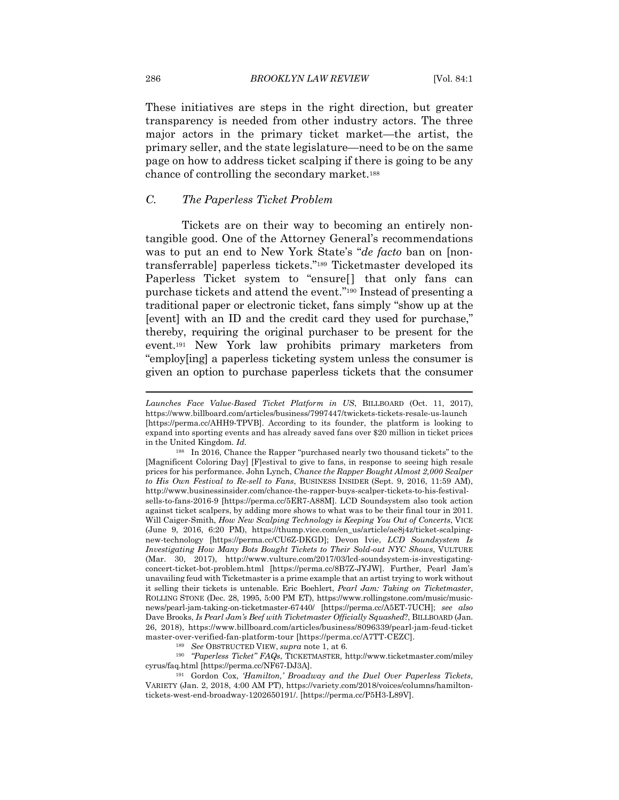These initiatives are steps in the right direction, but greater transparency is needed from other industry actors. The three major actors in the primary ticket market—the artist, the primary seller, and the state legislature—need to be on the same page on how to address ticket scalping if there is going to be any chance of controlling the secondary market.188

# *C. The Paperless Ticket Problem*

Tickets are on their way to becoming an entirely nontangible good. One of the Attorney General's recommendations was to put an end to New York State's "*de facto* ban on [nontransferrable] paperless tickets."189 Ticketmaster developed its Paperless Ticket system to "ensure[] that only fans can purchase tickets and attend the event."190 Instead of presenting a traditional paper or electronic ticket, fans simply "show up at the [event] with an ID and the credit card they used for purchase," thereby, requiring the original purchaser to be present for the event.191 New York law prohibits primary marketers from "employ[ing] a paperless ticketing system unless the consumer is given an option to purchase paperless tickets that the consumer

cyrus/faq.html [https://perma.cc/NF67-DJ3A]. 191 Gordon Cox, *'Hamilton,' Broadway and the Duel Over Paperless Tickets*,

VARIETY (Jan. 2, 2018, 4:00 AM PT), https://variety.com/2018/voices/columns/hamiltontickets-west-end-broadway-1202650191/. [https://perma.cc/P5H3-L89V].

*Launches Face Value-Based Ticket Platform in US*, BILLBOARD (Oct. 11, 2017), https://www.billboard.com/articles/business/7997447/twickets-tickets-resale-us-launch [https://perma.cc/AHH9-TPVB]. According to its founder, the platform is looking to expand into sporting events and has already saved fans over \$20 million in ticket prices in the United Kingdom. *Id.*

<sup>188</sup> In 2016, Chance the Rapper "purchased nearly two thousand tickets" to the [Magnificent Coloring Day] [F]estival to give to fans, in response to seeing high resale prices for his performance. John Lynch, *Chance the Rapper Bought Almost 2,000 Scalper to His Own Festival to Re-sell to Fans*, BUSINESS INSIDER (Sept. 9, 2016, 11:59 AM), http://www.businessinsider.com/chance-the-rapper-buys-scalper-tickets-to-his-festivalsells-to-fans-2016-9 [https://perma.cc/5ER7-A88M]. LCD Soundsystem also took action against ticket scalpers, by adding more shows to what was to be their final tour in 2011. Will Caiger-Smith, *How New Scalping Technology is Keeping You Out of Concerts*, VICE (June 9, 2016, 6:20 PM), https://thump.vice.com/en\_us/article/ae8j4z/ticket-scalpingnew-technology [https://perma.cc/CU6Z-DKGD]; Devon Ivie, *LCD Soundsystem Is Investigating How Many Bots Bought Tickets to Their Sold-out NYC Shows*, VULTURE (Mar. 30, 2017), http://www.vulture.com/2017/03/lcd-soundsystem-is-investigatingconcert-ticket-bot-problem.html [https://perma.cc/8B7Z-JYJW]. Further, Pearl Jam's unavailing feud with Ticketmaster is a prime example that an artist trying to work without it selling their tickets is untenable. Eric Boehlert, *Pearl Jam: Taking on Ticketmaster*, ROLLING STONE (Dec. 28, 1995, 5:00 PM ET), https://www.rollingstone.com/music/musicnews/pearl-jam-taking-on-ticketmaster-67440/ [https://perma.cc/A5ET-7UCH]; *see also*  Dave Brooks, *Is Pearl Jam's Beef with Ticketmaster Officially Squashed*?, BILLBOARD (Jan. 26, 2018), https://www.billboard.com/articles/business/8096339/pearl-jam-feud-ticket master-over-verified-fan-platform-tour [https://perma.cc/A7TT-CEZC]. 189 *See* OBSTRUCTED VIEW, *supra* note 1, at 6. 190 *"Paperless Ticket" FAQs*, TICKETMASTER, http://www.ticketmaster.com/miley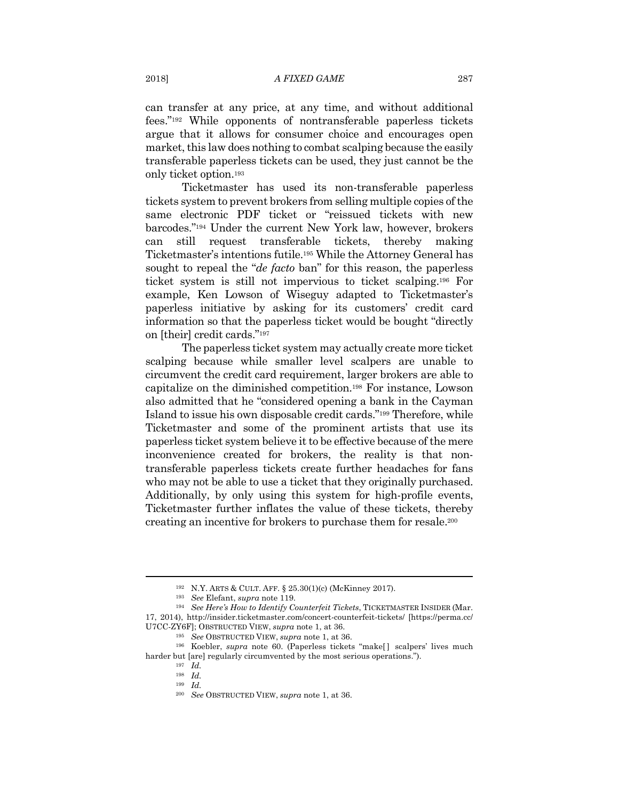can transfer at any price, at any time, and without additional fees."192 While opponents of nontransferable paperless tickets argue that it allows for consumer choice and encourages open market, this law does nothing to combat scalping because the easily transferable paperless tickets can be used, they just cannot be the only ticket option.193

Ticketmaster has used its non-transferable paperless tickets system to prevent brokers from selling multiple copies of the same electronic PDF ticket or "reissued tickets with new barcodes."194 Under the current New York law, however, brokers can still request transferable tickets, thereby making Ticketmaster's intentions futile.195 While the Attorney General has sought to repeal the "*de facto* ban" for this reason, the paperless ticket system is still not impervious to ticket scalping.196 For example, Ken Lowson of Wiseguy adapted to Ticketmaster's paperless initiative by asking for its customers' credit card information so that the paperless ticket would be bought "directly on [their] credit cards."197

The paperless ticket system may actually create more ticket scalping because while smaller level scalpers are unable to circumvent the credit card requirement, larger brokers are able to capitalize on the diminished competition.198 For instance, Lowson also admitted that he "considered opening a bank in the Cayman Island to issue his own disposable credit cards."199 Therefore, while Ticketmaster and some of the prominent artists that use its paperless ticket system believe it to be effective because of the mere inconvenience created for brokers, the reality is that nontransferable paperless tickets create further headaches for fans who may not be able to use a ticket that they originally purchased. Additionally, by only using this system for high-profile events, Ticketmaster further inflates the value of these tickets, thereby creating an incentive for brokers to purchase them for resale.200

<sup>192</sup> N.Y. ARTS & CULT. AFF. § 25.30(1)(c) (McKinney 2017). 193 *See* Elefant, *supra* note 119. 194 *See Here's How to Identify Counterfeit Tickets*, TICKETMASTER INSIDER (Mar. 17, 2014), http://insider.ticketmaster.com/concert-counterfeit-tickets/ [https://perma.cc/ U7CC-ZY6F]; OBSTRUCTED VIEW, *supra* note 1, at 36.<br><sup>195</sup> See OBSTRUCTED VIEW, *supra* note 1, at 36.<br><sup>196</sup> Koebler, *supra* note 60. (Paperless tickets "make[] scalpers' lives much

harder but [are] regularly circumvented by the most serious operations."). 197 *Id.*

<sup>198</sup> *Id.*

<sup>199</sup> *Id.*

<sup>200</sup> *See* OBSTRUCTED VIEW, *supra* note 1, at 36.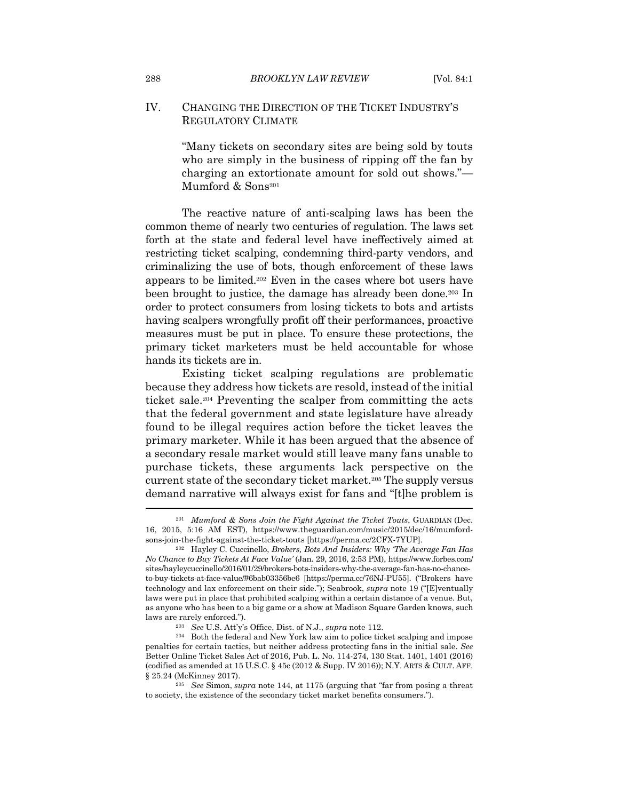# IV. CHANGING THE DIRECTION OF THE TICKET INDUSTRY'S REGULATORY CLIMATE

"Many tickets on secondary sites are being sold by touts who are simply in the business of ripping off the fan by charging an extortionate amount for sold out shows."— Mumford & Sons<sup>201</sup>

The reactive nature of anti-scalping laws has been the common theme of nearly two centuries of regulation. The laws set forth at the state and federal level have ineffectively aimed at restricting ticket scalping, condemning third-party vendors, and criminalizing the use of bots, though enforcement of these laws appears to be limited.202 Even in the cases where bot users have been brought to justice, the damage has already been done.203 In order to protect consumers from losing tickets to bots and artists having scalpers wrongfully profit off their performances, proactive measures must be put in place. To ensure these protections, the primary ticket marketers must be held accountable for whose hands its tickets are in.

Existing ticket scalping regulations are problematic because they address how tickets are resold, instead of the initial ticket sale.204 Preventing the scalper from committing the acts that the federal government and state legislature have already found to be illegal requires action before the ticket leaves the primary marketer. While it has been argued that the absence of a secondary resale market would still leave many fans unable to purchase tickets, these arguments lack perspective on the current state of the secondary ticket market.205 The supply versus demand narrative will always exist for fans and "[t]he problem is

<sup>201</sup> *Mumford & Sons Join the Fight Against the Ticket Touts*, GUARDIAN (Dec. 16, 2015, 5:16 AM EST), https://www.theguardian.com/music/2015/dec/16/mumfordsons-join-the-fight-against-the-ticket-touts [https://perma.cc/2CFX-7YUP]. 202 Hayley C. Cuccinello, *Brokers, Bots And Insiders: Why 'The Average Fan Has* 

*No Chance to Buy Tickets At Face Value'* (Jan. 29, 2016, 2:53 PM), https://www.forbes.com/ sites/hayleycuccinello/2016/01/29/brokers-bots-insiders-why-the-average-fan-has-no-chanceto-buy-tickets-at-face-value/#6bab03356be6 [https://perma.cc/76NJ-PU55]. ("Brokers have technology and lax enforcement on their side."); Seabrook, *supra* note 19 ("[E]ventually laws were put in place that prohibited scalping within a certain distance of a venue. But, as anyone who has been to a big game or a show at Madison Square Garden knows, such laws are rarely enforced."). 203 *See* U.S. Att'y's Office, Dist. of N.J., *supra* note 112.

<sup>204</sup> Both the federal and New York law aim to police ticket scalping and impose penalties for certain tactics, but neither address protecting fans in the initial sale. *See*  Better Online Ticket Sales Act of 2016, Pub. L. No. 114-274, 130 Stat. 1401, 1401 (2016) (codified as amended at 15 U.S.C. § 45c (2012 & Supp. IV 2016)); N.Y. ARTS & CULT. AFF. § 25.24 (McKinney 2017). 205 *See* Simon, *supra* note 144, at 1175 (arguing that "far from posing a threat

to society, the existence of the secondary ticket market benefits consumers.").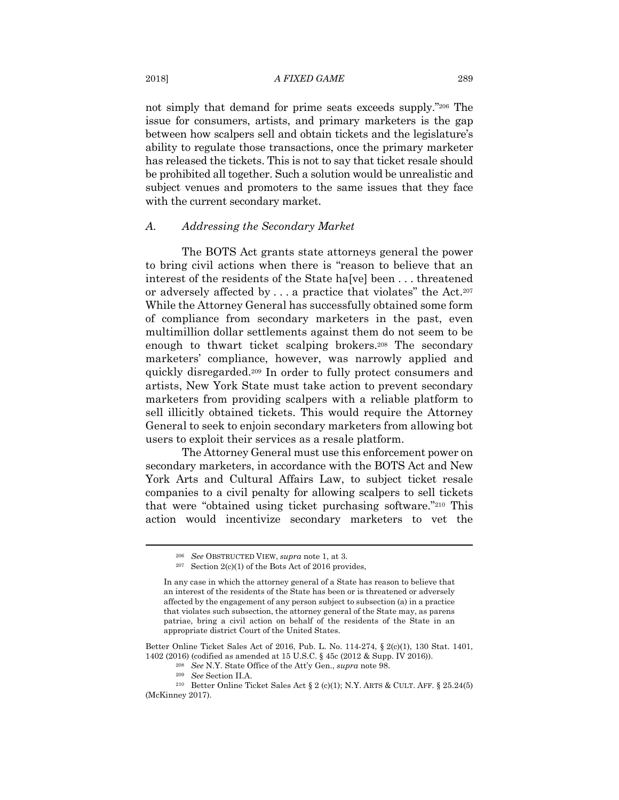#### 2018] *A FIXED GAME* 289

not simply that demand for prime seats exceeds supply."206 The issue for consumers, artists, and primary marketers is the gap between how scalpers sell and obtain tickets and the legislature's ability to regulate those transactions, once the primary marketer has released the tickets. This is not to say that ticket resale should be prohibited all together. Such a solution would be unrealistic and subject venues and promoters to the same issues that they face with the current secondary market.

#### *A. Addressing the Secondary Market*

The BOTS Act grants state attorneys general the power to bring civil actions when there is "reason to believe that an interest of the residents of the State ha[ve] been . . . threatened or adversely affected by . . . a practice that violates" the Act.207 While the Attorney General has successfully obtained some form of compliance from secondary marketers in the past, even multimillion dollar settlements against them do not seem to be enough to thwart ticket scalping brokers.<sup>208</sup> The secondary marketers' compliance, however, was narrowly applied and quickly disregarded.209 In order to fully protect consumers and artists, New York State must take action to prevent secondary marketers from providing scalpers with a reliable platform to sell illicitly obtained tickets. This would require the Attorney General to seek to enjoin secondary marketers from allowing bot users to exploit their services as a resale platform.

The Attorney General must use this enforcement power on secondary marketers, in accordance with the BOTS Act and New York Arts and Cultural Affairs Law, to subject ticket resale companies to a civil penalty for allowing scalpers to sell tickets that were "obtained using ticket purchasing software."210 This action would incentivize secondary marketers to vet the

Better Online Ticket Sales Act of 2016, Pub. L. No. 114-274, § 2(c)(1), 130 Stat. 1401, 1402 (2016) (codified as amended at 15 U.S.C. § 45c (2012 & Supp. IV 2016)).<br><sup>208</sup> See N.Y. State Office of the Att'y Gen., *supra* note 98.<br><sup>209</sup> See Section II.A.<br><sup>210</sup> Better Online Ticket Sales Act § 2 (c)(1): N.Y. AR

<sup>206</sup> *See* OBSTRUCTED VIEW, *supra* note 1, at 3. 207 Section 2(c)(1) of the Bots Act of 2016 provides,

In any case in which the attorney general of a State has reason to believe that an interest of the residents of the State has been or is threatened or adversely affected by the engagement of any person subject to subsection (a) in a practice that violates such subsection, the attorney general of the State may, as parens patriae, bring a civil action on behalf of the residents of the State in an appropriate district Court of the United States.

<sup>(</sup>McKinney 2017).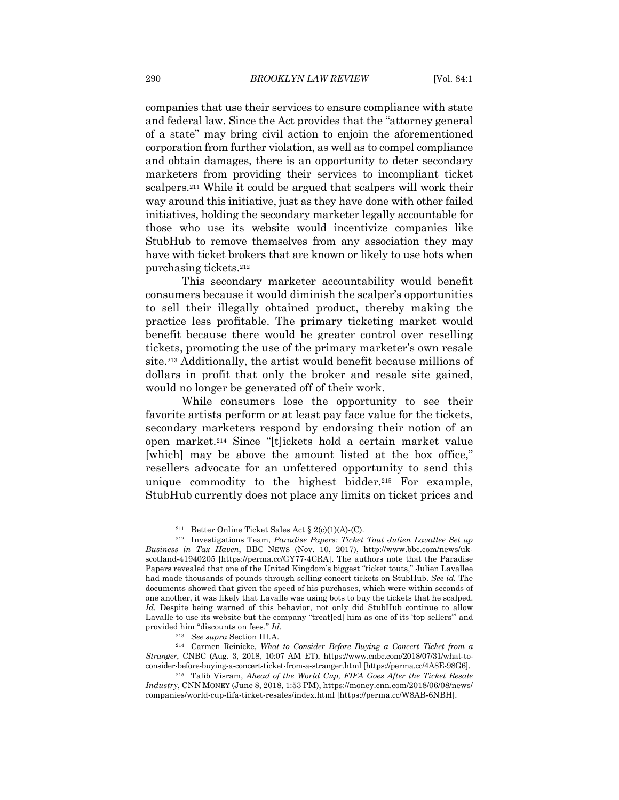companies that use their services to ensure compliance with state and federal law. Since the Act provides that the "attorney general of a state" may bring civil action to enjoin the aforementioned corporation from further violation, as well as to compel compliance and obtain damages, there is an opportunity to deter secondary marketers from providing their services to incompliant ticket scalpers.211 While it could be argued that scalpers will work their way around this initiative, just as they have done with other failed initiatives, holding the secondary marketer legally accountable for those who use its website would incentivize companies like StubHub to remove themselves from any association they may have with ticket brokers that are known or likely to use bots when purchasing tickets.212

This secondary marketer accountability would benefit consumers because it would diminish the scalper's opportunities to sell their illegally obtained product, thereby making the practice less profitable. The primary ticketing market would benefit because there would be greater control over reselling tickets, promoting the use of the primary marketer's own resale site.213 Additionally, the artist would benefit because millions of dollars in profit that only the broker and resale site gained, would no longer be generated off of their work.

While consumers lose the opportunity to see their favorite artists perform or at least pay face value for the tickets, secondary marketers respond by endorsing their notion of an open market.214 Since "[t]ickets hold a certain market value [which] may be above the amount listed at the box office," resellers advocate for an unfettered opportunity to send this unique commodity to the highest bidder.<sup>215</sup> For example, StubHub currently does not place any limits on ticket prices and

<sup>211</sup> Better Online Ticket Sales Act § 2(c)(1)(A)-(C). 212 Investigations Team, *Paradise Papers: Ticket Tout Julien Lavallee Set up Business in Tax Haven*, BBC NEWS (Nov. 10, 2017), http://www.bbc.com/news/ukscotland-41940205 [https://perma.cc/GY77-4CRA]. The authors note that the Paradise Papers revealed that one of the United Kingdom's biggest "ticket touts," Julien Lavallee had made thousands of pounds through selling concert tickets on StubHub. *See id.* The documents showed that given the speed of his purchases, which were within seconds of one another, it was likely that Lavalle was using bots to buy the tickets that he scalped. *Id.* Despite being warned of this behavior, not only did StubHub continue to allow Lavalle to use its website but the company "treat[ed] him as one of its 'top sellers'" and provided him "discounts on fees." *Id.*

<sup>213</sup> *See supra* Section III.A. 214 Carmen Reinicke, *What to Consider Before Buying a Concert Ticket from a Stranger*, CNBC (Aug. 3, 2018, 10:07 AM ET), https://www.cnbc.com/2018/07/31/what-to-

consider-before-buying-a-concert-ticket-from-a-stranger.html [https://perma.cc/4A8E-98G6]. 215 Talib Visram, *Ahead of the World Cup, FIFA Goes After the Ticket Resale Industry*, CNN MONEY (June 8, 2018, 1:53 PM), https://money.cnn.com/2018/06/08/news/ companies/world-cup-fifa-ticket-resales/index.html [https://perma.cc/W8AB-6NBH].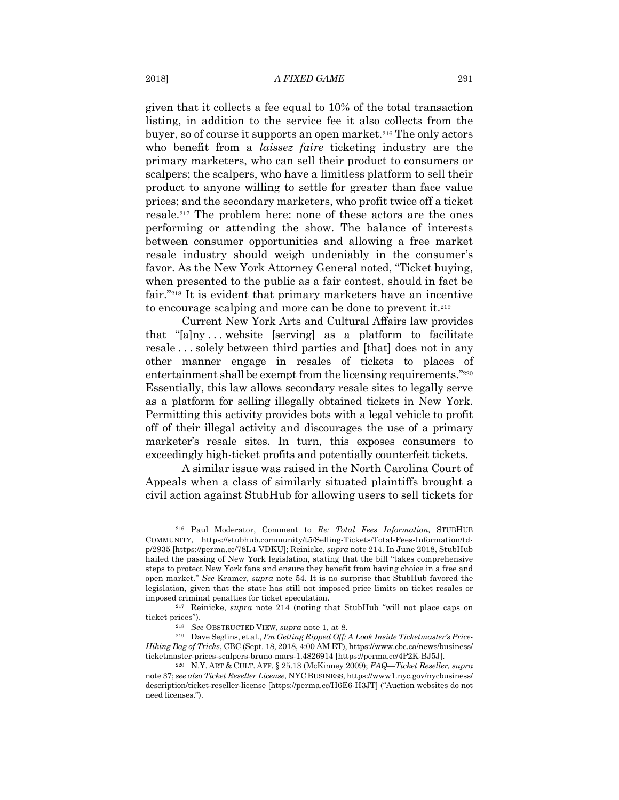given that it collects a fee equal to 10% of the total transaction listing, in addition to the service fee it also collects from the buyer, so of course it supports an open market.216 The only actors who benefit from a *laissez faire* ticketing industry are the primary marketers, who can sell their product to consumers or scalpers; the scalpers, who have a limitless platform to sell their product to anyone willing to settle for greater than face value prices; and the secondary marketers, who profit twice off a ticket resale.217 The problem here: none of these actors are the ones performing or attending the show. The balance of interests between consumer opportunities and allowing a free market resale industry should weigh undeniably in the consumer's favor. As the New York Attorney General noted, "Ticket buying, when presented to the public as a fair contest, should in fact be fair."218 It is evident that primary marketers have an incentive to encourage scalping and more can be done to prevent it.219

Current New York Arts and Cultural Affairs law provides that "[a]ny . . . website [serving] as a platform to facilitate resale . . . solely between third parties and [that] does not in any other manner engage in resales of tickets to places of entertainment shall be exempt from the licensing requirements."220 Essentially, this law allows secondary resale sites to legally serve as a platform for selling illegally obtained tickets in New York. Permitting this activity provides bots with a legal vehicle to profit off of their illegal activity and discourages the use of a primary marketer's resale sites. In turn, this exposes consumers to exceedingly high-ticket profits and potentially counterfeit tickets.

A similar issue was raised in the North Carolina Court of Appeals when a class of similarly situated plaintiffs brought a civil action against StubHub for allowing users to sell tickets for

<sup>216</sup> Paul Moderator, Comment to *Re: Total Fees Information,* STUBHUB COMMUNITY, https://stubhub.community/t5/Selling-Tickets/Total-Fees-Information/tdp/2935 [https://perma.cc/78L4-VDKU]; Reinicke, *supra* note 214. In June 2018, StubHub hailed the passing of New York legislation, stating that the bill "takes comprehensive steps to protect New York fans and ensure they benefit from having choice in a free and open market." *See* Kramer, *supra* note 54. It is no surprise that StubHub favored the legislation, given that the state has still not imposed price limits on ticket resales or imposed criminal penalties for ticket speculation. 217 Reinicke, *supra* note 214 (noting that StubHub "will not place caps on

ticket prices"). 218 *See* OBSTRUCTED VIEW, *supra* note 1, at 8. 219 Dave Seglins, et al., *I'm Getting Ripped Off: A Look Inside Ticketmaster's Price-*

*Hiking Bag of Tricks*, CBC (Sept. 18, 2018, 4:00 AM ET), https://www.cbc.ca/news/business/ ticketmaster-prices-scalpers-bruno-mars-1.4826914 [https://perma.cc/4P2K-BJ5J]. 220 N.Y. ART & CULT. AFF. § 25.13 (McKinney 2009); *FAQ—Ticket Reseller, supra*

note 37; *see also Ticket Reseller License*, NYC BUSINESS, https://www1.nyc.gov/nycbusiness/ description/ticket-reseller-license [https://perma.cc/H6E6-H3JT] ("Auction websites do not need licenses.").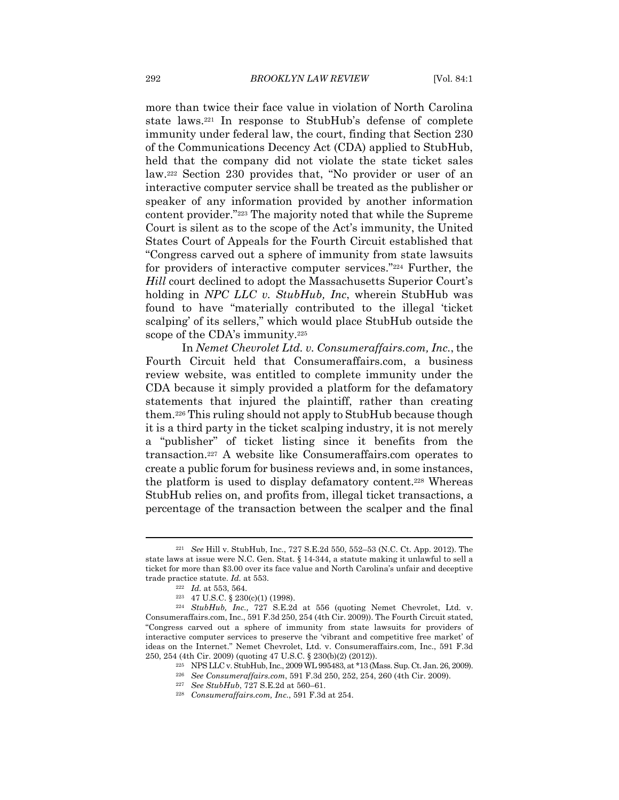more than twice their face value in violation of North Carolina state laws.221 In response to StubHub's defense of complete immunity under federal law, the court, finding that Section 230 of the Communications Decency Act (CDA) applied to StubHub, held that the company did not violate the state ticket sales law.222 Section 230 provides that, "No provider or user of an interactive computer service shall be treated as the publisher or speaker of any information provided by another information content provider."223 The majority noted that while the Supreme Court is silent as to the scope of the Act's immunity, the United States Court of Appeals for the Fourth Circuit established that "Congress carved out a sphere of immunity from state lawsuits for providers of interactive computer services."224 Further, the *Hill* court declined to adopt the Massachusetts Superior Court's holding in *NPC LLC v. StubHub, Inc*, wherein StubHub was found to have "materially contributed to the illegal 'ticket scalping' of its sellers," which would place StubHub outside the scope of the CDA's immunity.225

In *Nemet Chevrolet Ltd. v. Consumeraffairs.com, Inc.*, the Fourth Circuit held that Consumeraffairs.com, a business review website, was entitled to complete immunity under the CDA because it simply provided a platform for the defamatory statements that injured the plaintiff, rather than creating them.226 This ruling should not apply to StubHub because though it is a third party in the ticket scalping industry, it is not merely a "publisher" of ticket listing since it benefits from the transaction.227 A website like Consumeraffairs.com operates to create a public forum for business reviews and, in some instances, the platform is used to display defamatory content.228 Whereas StubHub relies on, and profits from, illegal ticket transactions, a percentage of the transaction between the scalper and the final

<sup>221</sup> *See* Hill v. StubHub, Inc., 727 S.E.2d 550, 552–53 (N.C. Ct. App. 2012). The state laws at issue were N.C. Gen. Stat. § 14-344, a statute making it unlawful to sell a ticket for more than \$3.00 over its face value and North Carolina's unfair and deceptive trade practice statute. *Id.* at 553.<br><sup>222</sup> *Id.* at 553, 564.<br><sup>223</sup> 47 U.S.C. § 230(c)(1) (1998).<br><sup>224</sup> *StubHub, Inc.*, 727 S.E.2d at 556 (quoting Nemet Chevrolet, Ltd. v.

Consumeraffairs.com, Inc., 591 F.3d 250, 254 (4th Cir. 2009)). The Fourth Circuit stated, "Congress carved out a sphere of immunity from state lawsuits for providers of interactive computer services to preserve the 'vibrant and competitive free market' of ideas on the Internet." Nemet Chevrolet, Ltd. v. Consumeraffairs.com, Inc., 591 F.3d 250, 254 (4th Cir. 2009) (quoting 47 U.S.C. § 230(b)(2) (2012)).

<sup>&</sup>lt;sup>225</sup> NPS LLC v. StubHub, Inc., 2009 WL 995483, at \*13 (Mass. Sup. Ct. Jan. 26, 2009).<br><sup>226</sup> See Consumeraffairs.com, 591 F.3d 250, 252, 254, 260 (4th Cir. 2009).<br><sup>227</sup> See StubHub, 727 S.E.2d at 560–61.<br><sup>228</sup> Consumeraff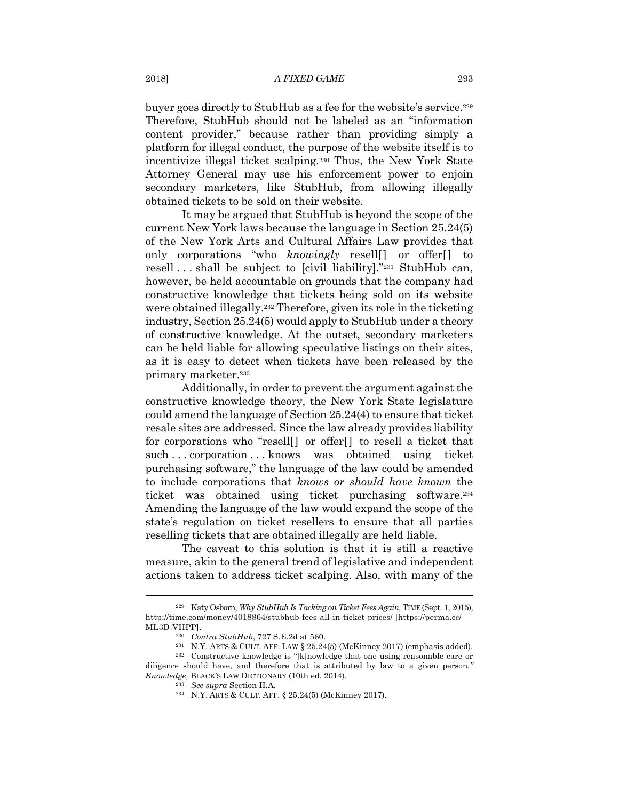buyer goes directly to StubHub as a fee for the website's service.229 Therefore, StubHub should not be labeled as an "information content provider," because rather than providing simply a platform for illegal conduct, the purpose of the website itself is to incentivize illegal ticket scalping.230 Thus, the New York State Attorney General may use his enforcement power to enjoin secondary marketers, like StubHub, from allowing illegally obtained tickets to be sold on their website.

It may be argued that StubHub is beyond the scope of the current New York laws because the language in Section 25.24(5) of the New York Arts and Cultural Affairs Law provides that only corporations "who *knowingly* resell[] or offer[] to resell . . . shall be subject to [civil liability]."231 StubHub can, however, be held accountable on grounds that the company had constructive knowledge that tickets being sold on its website were obtained illegally.232 Therefore, given its role in the ticketing industry, Section 25.24(5) would apply to StubHub under a theory of constructive knowledge. At the outset, secondary marketers can be held liable for allowing speculative listings on their sites, as it is easy to detect when tickets have been released by the primary marketer.233

Additionally, in order to prevent the argument against the constructive knowledge theory, the New York State legislature could amend the language of Section 25.24(4) to ensure that ticket resale sites are addressed. Since the law already provides liability for corporations who "resell[] or offer[] to resell a ticket that such . . . corporation . . . knows was obtained using ticket purchasing software," the language of the law could be amended to include corporations that *knows or should have known* the ticket was obtained using ticket purchasing software.234 Amending the language of the law would expand the scope of the state's regulation on ticket resellers to ensure that all parties reselling tickets that are obtained illegally are held liable.

The caveat to this solution is that it is still a reactive measure, akin to the general trend of legislative and independent actions taken to address ticket scalping. Also, with many of the

<sup>229</sup> Katy Osborn, *Why StubHub Is Tacking on Ticket Fees Again*, TIME (Sept. 1, 2015), http://time.com/money/4018864/stubhub-fees-all-in-ticket-prices/ [https://perma.cc/

ML3D-VHPP].<br><sup>230</sup> *Contra StubHub*, 727 S.E.2d at 560.<br><sup>231</sup> N.Y. ARTS & CULT. AFF. LAW § 25.24(5) (McKinney 2017) (emphasis added).<br><sup>232</sup> Constructive knowledge is "[k]nowledge that one using reasonable care or diligence should have, and therefore that is attributed by law to a given person*." Knowledge*, BLACK'S LAW DICTIONARY (10th ed. 2014).<br><sup>233</sup> See supra Section II.A.<br><sup>234</sup> N.Y. ARTS & CULT. AFF. § 25.24(5) (McKinney 2017).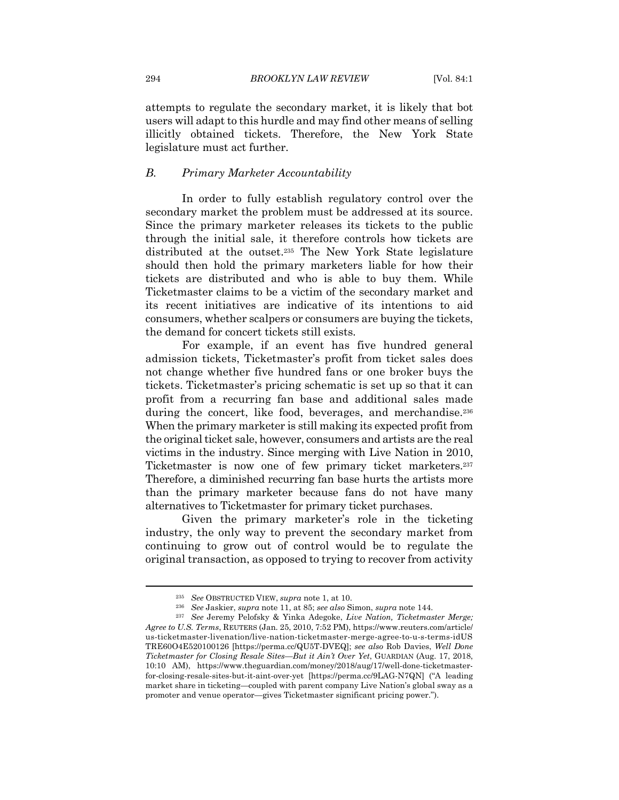attempts to regulate the secondary market, it is likely that bot users will adapt to this hurdle and may find other means of selling illicitly obtained tickets. Therefore, the New York State legislature must act further.

#### *B. Primary Marketer Accountability*

In order to fully establish regulatory control over the secondary market the problem must be addressed at its source. Since the primary marketer releases its tickets to the public through the initial sale, it therefore controls how tickets are distributed at the outset.235 The New York State legislature should then hold the primary marketers liable for how their tickets are distributed and who is able to buy them. While Ticketmaster claims to be a victim of the secondary market and its recent initiatives are indicative of its intentions to aid consumers, whether scalpers or consumers are buying the tickets, the demand for concert tickets still exists.

For example, if an event has five hundred general admission tickets, Ticketmaster's profit from ticket sales does not change whether five hundred fans or one broker buys the tickets. Ticketmaster's pricing schematic is set up so that it can profit from a recurring fan base and additional sales made during the concert, like food, beverages, and merchandise.<sup>236</sup> When the primary marketer is still making its expected profit from the original ticket sale, however, consumers and artists are the real victims in the industry. Since merging with Live Nation in 2010, Ticketmaster is now one of few primary ticket marketers.237 Therefore, a diminished recurring fan base hurts the artists more than the primary marketer because fans do not have many alternatives to Ticketmaster for primary ticket purchases.

Given the primary marketer's role in the ticketing industry, the only way to prevent the secondary market from continuing to grow out of control would be to regulate the original transaction, as opposed to trying to recover from activity

<sup>&</sup>lt;sup>235</sup> See OBSTRUCTED VIEW, *supra* note 1, at 10.<br><sup>236</sup> See Jaskier, *supra* note 11, at 85; see also Simon, *supra* note 144.<br><sup>237</sup> See Jeremy Pelofsky & Yinka Adegoke, *Live Nation, Ticketmaster Merge; Agree to U.S. Terms*, REUTERS (Jan. 25, 2010, 7:52 PM), https://www.reuters.com/article/ us-ticketmaster-livenation/live-nation-ticketmaster-merge-agree-to-u-s-terms-idUS TRE60O4E520100126 [https://perma.cc/QU5T-DVEQ]; *see also* Rob Davies, *Well Done Ticketmaster for Closing Resale Sites—But it Ain't Over Yet*, GUARDIAN (Aug. 17, 2018, 10:10 AM), https://www.theguardian.com/money/2018/aug/17/well-done-ticketmasterfor-closing-resale-sites-but-it-aint-over-yet [https://perma.cc/9LAG-N7QN] ("A leading market share in ticketing—coupled with parent company Live Nation's global sway as a promoter and venue operator—gives Ticketmaster significant pricing power.").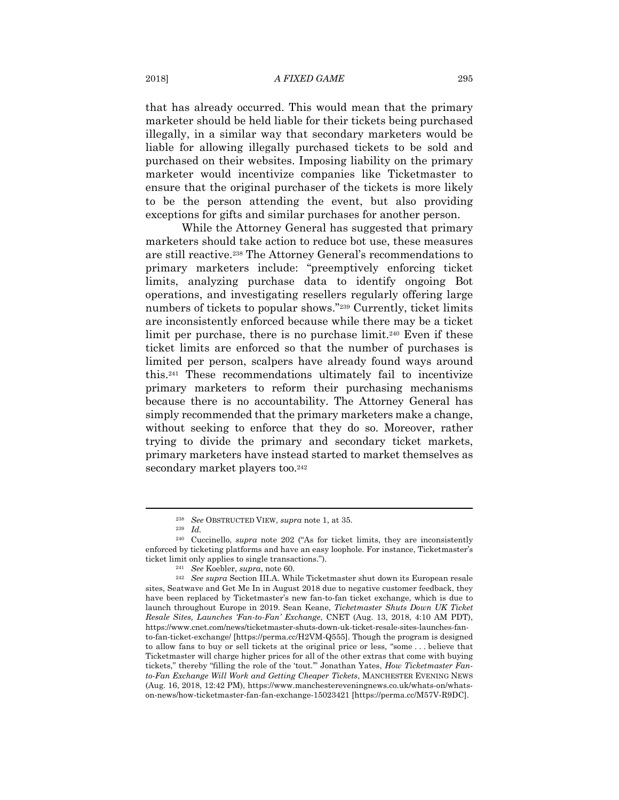#### 2018] *A FIXED GAME* 295

that has already occurred. This would mean that the primary marketer should be held liable for their tickets being purchased illegally, in a similar way that secondary marketers would be liable for allowing illegally purchased tickets to be sold and purchased on their websites. Imposing liability on the primary marketer would incentivize companies like Ticketmaster to ensure that the original purchaser of the tickets is more likely to be the person attending the event, but also providing exceptions for gifts and similar purchases for another person.

While the Attorney General has suggested that primary marketers should take action to reduce bot use, these measures are still reactive.238 The Attorney General's recommendations to primary marketers include: "preemptively enforcing ticket limits, analyzing purchase data to identify ongoing Bot operations, and investigating resellers regularly offering large numbers of tickets to popular shows."239 Currently, ticket limits are inconsistently enforced because while there may be a ticket limit per purchase, there is no purchase limit.<sup>240</sup> Even if these ticket limits are enforced so that the number of purchases is limited per person, scalpers have already found ways around this.241 These recommendations ultimately fail to incentivize primary marketers to reform their purchasing mechanisms because there is no accountability. The Attorney General has simply recommended that the primary marketers make a change, without seeking to enforce that they do so. Moreover, rather trying to divide the primary and secondary ticket markets, primary marketers have instead started to market themselves as secondary market players too.<sup>242</sup>

<sup>238</sup> *See* OBSTRUCTED VIEW, *supra* note 1, at 35. 239 *Id.*

<sup>240</sup> Cuccinello, *supra* note 202 ("As for ticket limits, they are inconsistently enforced by ticketing platforms and have an easy loophole. For instance, Ticketmaster's

ticket limit only applies to single transactions.").<br><sup>241</sup> See Koebler, *supra*, note 60.<br><sup>242</sup> See supra Section III.A. While Ticketmaster shut down its European resale sites, Seatwave and Get Me In in August 2018 due to negative customer feedback, they have been replaced by Ticketmaster's new fan-to-fan ticket exchange, which is due to launch throughout Europe in 2019. Sean Keane, *Ticketmaster Shuts Down UK Ticket Resale Sites, Launches 'Fan-to-Fan' Exchange*, CNET (Aug. 13, 2018, 4:10 AM PDT), https://www.cnet.com/news/ticketmaster-shuts-down-uk-ticket-resale-sites-launches-fanto-fan-ticket-exchange/ [https://perma.cc/H2VM-Q555]. Though the program is designed to allow fans to buy or sell tickets at the original price or less, "some . . . believe that Ticketmaster will charge higher prices for all of the other extras that come with buying tickets," thereby "filling the role of the 'tout.'" Jonathan Yates, *How Ticketmaster Fanto-Fan Exchange Will Work and Getting Cheaper Tickets*, MANCHESTER EVENING NEWS (Aug. 16, 2018, 12:42 PM), https://www.manchestereveningnews.co.uk/whats-on/whatson-news/how-ticketmaster-fan-fan-exchange-15023421 [https://perma.cc/M57V-R9DC].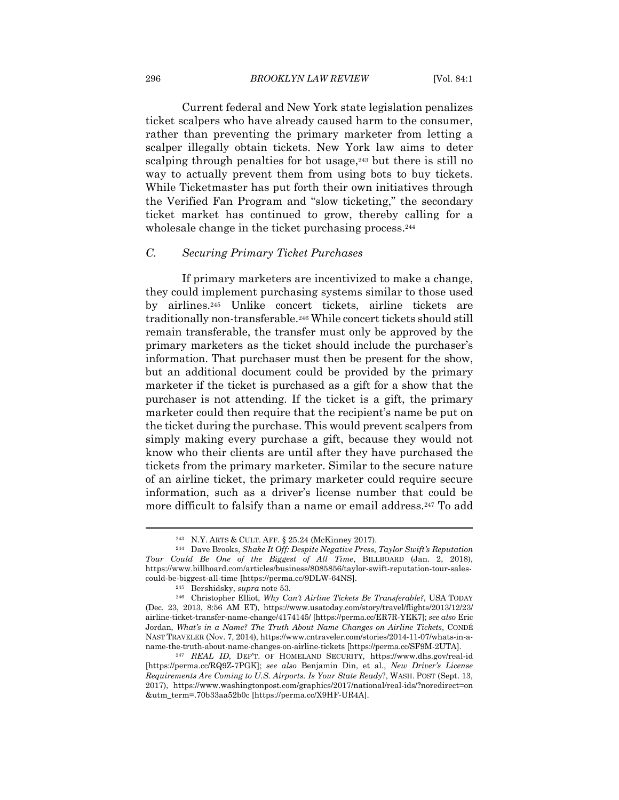Current federal and New York state legislation penalizes ticket scalpers who have already caused harm to the consumer, rather than preventing the primary marketer from letting a scalper illegally obtain tickets. New York law aims to deter scalping through penalties for bot usage, $243$  but there is still no way to actually prevent them from using bots to buy tickets. While Ticketmaster has put forth their own initiatives through the Verified Fan Program and "slow ticketing," the secondary ticket market has continued to grow, thereby calling for a wholesale change in the ticket purchasing process.<sup>244</sup>

#### *C. Securing Primary Ticket Purchases*

If primary marketers are incentivized to make a change, they could implement purchasing systems similar to those used by airlines.245 Unlike concert tickets, airline tickets are traditionally non-transferable.246 While concert tickets should still remain transferable, the transfer must only be approved by the primary marketers as the ticket should include the purchaser's information. That purchaser must then be present for the show, but an additional document could be provided by the primary marketer if the ticket is purchased as a gift for a show that the purchaser is not attending. If the ticket is a gift, the primary marketer could then require that the recipient's name be put on the ticket during the purchase. This would prevent scalpers from simply making every purchase a gift, because they would not know who their clients are until after they have purchased the tickets from the primary marketer. Similar to the secure nature of an airline ticket, the primary marketer could require secure information, such as a driver's license number that could be more difficult to falsify than a name or email address.<sup>247</sup> To add

<sup>243</sup> N.Y. ARTS & CULT. AFF. § 25.24 (McKinney 2017). 244 Dave Brooks, *Shake It Off: Despite Negative Press, Taylor Swift's Reputation Tour Could Be One of the Biggest of All Time*, BILLBOARD (Jan. 2, 2018), https://www.billboard.com/articles/business/8085856/taylor-swift-reputation-tour-salescould-be-biggest-all-time [https://perma.cc/9DLW-64NS]. 245 Bershidsky, *supra* note 53. 246 Christopher Elliot, *Why Can't Airline Tickets Be Transferable?*, USA TODAY

<sup>(</sup>Dec. 23, 2013, 8:56 AM ET), https://www.usatoday.com/story/travel/flights/2013/12/23/ airline-ticket-transfer-name-change/4174145/ [https://perma.cc/ER7R-YEK7]; *see also* Eric Jordan, *What's in a Name? The Truth About Name Changes on Airline Tickets*, CONDÉ NAST TRAVELER (Nov. 7, 2014), https://www.cntraveler.com/stories/2014-11-07/whats-in-a-

name-the-truth-about-name-changes-on-airline-tickets [https://perma.cc/SF9M-2UTA]. 247 *REAL ID*, DEP'T. OF HOMELAND SECURITY, https://www.dhs.gov/real-id [https://perma.cc/RQ9Z-7PGK]; *see also* Benjamin Din, et al., *New Driver's License Requirements Are Coming to U.S. Airports. Is Your State Ready*?, WASH. POST (Sept. 13, 2017), https://www.washingtonpost.com/graphics/2017/national/real-ids/?noredirect=on &utm\_term=.70b33aa52b0c [https://perma.cc/X9HF-UR4A].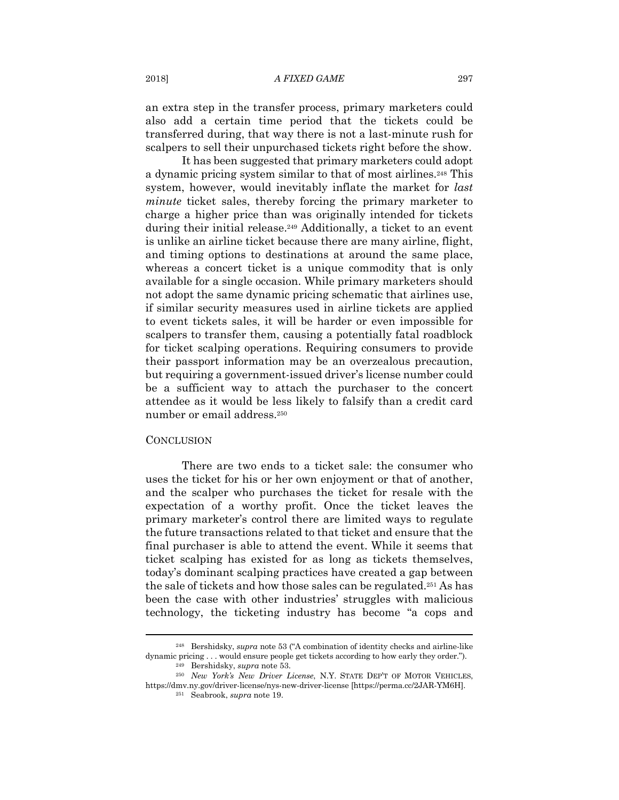an extra step in the transfer process, primary marketers could also add a certain time period that the tickets could be transferred during, that way there is not a last-minute rush for scalpers to sell their unpurchased tickets right before the show.

It has been suggested that primary marketers could adopt a dynamic pricing system similar to that of most airlines.248 This system, however, would inevitably inflate the market for *last minute* ticket sales, thereby forcing the primary marketer to charge a higher price than was originally intended for tickets during their initial release.249 Additionally, a ticket to an event is unlike an airline ticket because there are many airline, flight, and timing options to destinations at around the same place, whereas a concert ticket is a unique commodity that is only available for a single occasion. While primary marketers should not adopt the same dynamic pricing schematic that airlines use, if similar security measures used in airline tickets are applied to event tickets sales, it will be harder or even impossible for scalpers to transfer them, causing a potentially fatal roadblock for ticket scalping operations. Requiring consumers to provide their passport information may be an overzealous precaution, but requiring a government-issued driver's license number could be a sufficient way to attach the purchaser to the concert attendee as it would be less likely to falsify than a credit card number or email address.250

#### **CONCLUSION**

There are two ends to a ticket sale: the consumer who uses the ticket for his or her own enjoyment or that of another, and the scalper who purchases the ticket for resale with the expectation of a worthy profit. Once the ticket leaves the primary marketer's control there are limited ways to regulate the future transactions related to that ticket and ensure that the final purchaser is able to attend the event. While it seems that ticket scalping has existed for as long as tickets themselves, today's dominant scalping practices have created a gap between the sale of tickets and how those sales can be regulated.251 As has been the case with other industries' struggles with malicious technology, the ticketing industry has become "a cops and

<sup>248</sup> Bershidsky, *supra* note 53 ("A combination of identity checks and airline-like dynamic pricing . . . would ensure people get tickets according to how early they order."). <sup>249</sup> Bershidsky, *supra* note 53. <sup>250</sup> *New York's New Driver License*, N.Y. STATE DEP'T OF MOTOR VEHICLES,

https://dmv.ny.gov/driver-license/nys-new-driver-license [https://perma.cc/2JAR-YM6H]. 251 Seabrook, *supra* note 19.